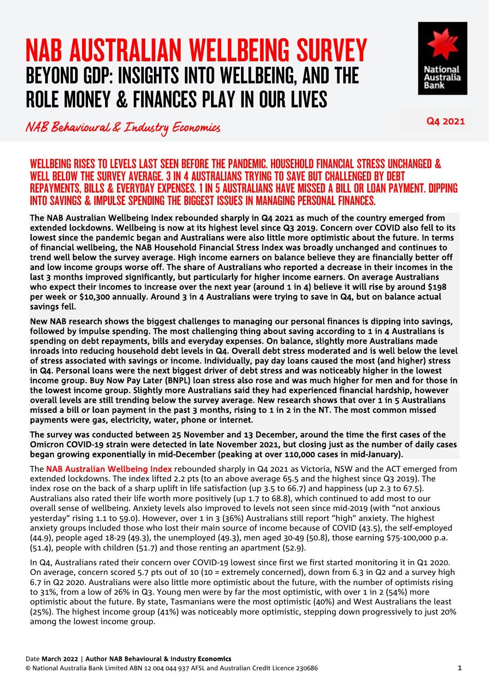# NAB AUSTRALIAN WELLBEING SURVEY BEYOND GDP: INSIGHTS INTO WELLBEING, AND THE ROLE MONEY & FINANCES PLAY IN OUR LIVES



NAB Behavioural & Industry Economics Q4 2021

WELLBEING RISES TO LEVELS LAST SEEN BEFORE THE PANDEMIC. HOUSEHOLD FINANCIAL STRESS UNCHANGED & WELL BELOW THE SURVEY AVERAGE. 3 IN 4 AUSTRALIANS TRYING TO SAVE BUT CHALLENGED BY DEBT REPAYMENTS, BILLS & EVERYDAY EXPENSES. 1 IN 5 AUSTRALIANS HAVE MISSED A BILL OR LOAN PAYMENT. DIPPING INTO SAVINGS & IMPULSE SPENDING THE BIGGEST ISSUES IN MANAGING PERSONAL FINANCES.

The NAB Australian Wellbeing Index rebounded sharply in Q4 2021 as much of the country emerged from extended lockdowns. Wellbeing is now at its highest level since Q3 2019. Concern over COVID also fell to its lowest since the pandemic began and Australians were also little more optimistic about the future. In terms of financial wellbeing, the NAB Household Financial Stress Index was broadly unchanged and continues to trend well below the survey average. High income earners on balance believe they are financially better off and low income groups worse off. The share of Australians who reported a decrease in their incomes in the last 3 months improved significantly, but particularly for higher income earners. On average Australians who expect their incomes to increase over the next year (around 1 in 4) believe it will rise by around \$198 per week or \$10,300 annually. Around 3 in 4 Australians were trying to save in Q4, but on balance actual savings fell.

New NAB research shows the biggest challenges to managing our personal finances is dipping into savings, followed by impulse spending. The most challenging thing about saving according to 1 in 4 Australians is spending on debt repayments, bills and everyday expenses. On balance, slightly more Australians made inroads into reducing household debt levels in Q4. Overall debt stress moderated and is well below the level of stress associated with savings or income. Individually, pay day loans caused the most (and higher) stress in Q4. Personal loans were the next biggest driver of debt stress and was noticeably higher in the lowest income group. Buy Now Pay Later (BNPL) loan stress also rose and was much higher for men and for those in the lowest income group. Slightly more Australians said they had experienced financial hardship, however overall levels are still trending below the survey average. New research shows that over 1 in 5 Australians missed a bill or loan payment in the past 3 months, rising to 1 in 2 in the NT. The most common missed payments were gas, electricity, water, phone or internet.

The survey was conducted between 25 November and 13 December, around the time the first cases of the Omicron COVID-19 strain were detected in late November 2021, but closing just as the number of daily cases began growing exponentially in mid-December (peaking at over 110,000 cases in mid-January).

The NAB Australian Wellbeing Index rebounded sharply in Q4 2021 as Victoria, NSW and the ACT emerged from extended lockdowns. The index lifted 2.2 pts (to an above average 65.5 and the highest since Q3 2019). The index rose on the back of a sharp uplift in life satisfaction (up 3.5 to 66.7) and happiness (up 2.3 to 67.5). Australians also rated their life worth more positively (up 1.7 to 68.8), which continued to add most to our overall sense of wellbeing. Anxiety levels also improved to levels not seen since mid-2019 (with "not anxious yesterday" rising 1.1 to 59.0). However, over 1 in 3 (36%) Australians still report "high" anxiety. The highest anxiety groups included those who lost their main source of income because of COVID (43.5), the self-employed (44.9), people aged 18-29 (49.3), the unemployed (49.3), men aged 30-49 (50.8), those earning \$75-100,000 p.a. (51.4), people with children (51.7) and those renting an apartment (52.9).

In Q4, Australians rated their concern over COVID-19 lowest since first we first started monitoring it in Q1 2020. On average, concern scored 5.7 pts out of 10 (10 = extremely concerned), down from 6.3 in Q2 and a survey high 6.7 in Q2 2020. Australians were also little more optimistic about the future, with the number of optimists rising to 31%, from a low of 26% in Q3. Young men were by far the most optimistic, with over 1 in 2 (54%) more optimistic about the future. By state, Tasmanians were the most optimistic (40%) and West Australians the least (25%). The highest income group (41%) was noticeably more optimistic, stepping down progressively to just 20% among the lowest income group.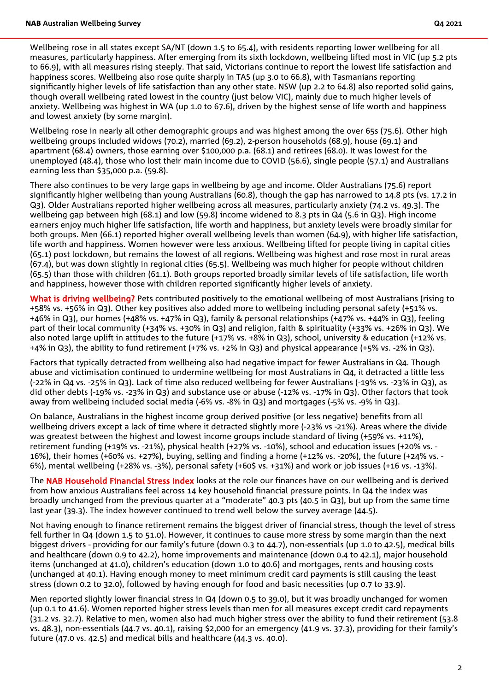Wellbeing rose in all states except SA/NT (down 1.5 to 65.4), with residents reporting lower wellbeing for all measures, particularly happiness. After emerging from its sixth lockdown, wellbeing lifted most in VIC (up 5.2 pts to 66.9), with all measures rising steeply. That said, Victorians continue to report the lowest life satisfaction and happiness scores. Wellbeing also rose quite sharply in TAS (up 3.0 to 66.8), with Tasmanians reporting significantly higher levels of life satisfaction than any other state. NSW (up 2.2 to 64.8) also reported solid gains, though overall wellbeing rated lowest in the country (just below VIC), mainly due to much higher levels of anxiety. Wellbeing was highest in WA (up 1.0 to 67.6), driven by the highest sense of life worth and happiness and lowest anxiety (by some margin).

Wellbeing rose in nearly all other demographic groups and was highest among the over 65s (75.6). Other high wellbeing groups included widows (70.2), married (69.2), 2-person households (68.9), house (69.1) and apartment (68.4) owners, those earning over \$100,000 p.a. (68.1) and retirees (68.0). It was lowest for the unemployed (48.4), those who lost their main income due to COVID (56.6), single people (57.1) and Australians earning less than \$35,000 p.a. (59.8).

There also continues to be very large gaps in wellbeing by age and income. Older Australians (75.6) report significantly higher wellbeing than young Australians (60.8), though the gap has narrowed to 14.8 pts (vs. 17.2 in Q3). Older Australians reported higher wellbeing across all measures, particularly anxiety (74.2 vs. 49.3). The wellbeing gap between high (68.1) and low (59.8) income widened to 8.3 pts in Q4 (5.6 in Q3). High income earners enjoy much higher life satisfaction, life worth and happiness, but anxiety levels were broadly similar for both groups. Men (66.1) reported higher overall wellbeing levels than women (64.9), with higher life satisfaction, life worth and happiness. Women however were less anxious. Wellbeing lifted for people living in capital cities (65.1) post lockdown, but remains the lowest of all regions. Wellbeing was highest and rose most in rural areas (67.4), but was down slightly in regional cities (65.5). Wellbeing was much higher for people without children (65.5) than those with children (61.1). Both groups reported broadly similar levels of life satisfaction, life worth and happiness, however those with children reported significantly higher levels of anxiety.

What is driving wellbeing? Pets contributed positively to the emotional wellbeing of most Australians (rising to +58% vs. +56% in Q3). Other key positives also added more to wellbeing including personal safety (+51% vs. +46% in Q3), our homes (+48% vs. +47% in Q3), family & personal relationships (+47% vs. +44% in Q3), feeling part of their local community (+34% vs. +30% in Q3) and religion, faith & spirituality (+33% vs. +26% in Q3). We also noted large uplift in attitudes to the future (+17% vs. +8% in Q3), school, university & education (+12% vs. +4% in Q3), the ability to fund retirement (+7% vs. +2% in Q3) and physical appearance (+5% vs. -2% in Q3).

Factors that typically detracted from wellbeing also had negative impact for fewer Australians in Q4. Though abuse and victimisation continued to undermine wellbeing for most Australians in Q4, it detracted a little less (-22% in Q4 vs. -25% in Q3). Lack of time also reduced wellbeing for fewer Australians (-19% vs. -23% in Q3), as did other debts (-19% vs. -23% in Q3) and substance use or abuse (-12% vs. -17% in Q3). Other factors that took away from wellbeing included social media (-6% vs. -8% in Q3) and mortgages (-5% vs. -9% in Q3).

On balance, Australians in the highest income group derived positive (or less negative) benefits from all wellbeing drivers except a lack of time where it detracted slightly more (-23% vs -21%). Areas where the divide was greatest between the highest and lowest income groups include standard of living (+59% vs. +11%), retirement funding (+19% vs. -21%), physical health (+27% vs. -10%), school and education issues (+20% vs. - 16%), their homes (+60% vs. +27%), buying, selling and finding a home (+12% vs. -20%), the future (+24% vs. - 6%), mental wellbeing (+28% vs. -3%), personal safety (+60\$ vs. +31%) and work or job issues (+16 vs. -13%).

The NAB Household Financial Stress Index looks at the role our finances have on our wellbeing and is derived from how anxious Australians feel across 14 key household financial pressure points. In Q4 the index was broadly unchanged from the previous quarter at a "moderate" 40.3 pts (40.5 in Q3), but up from the same time last year (39.3). The index however continued to trend well below the survey average (44.5).

Not having enough to finance retirement remains the biggest driver of financial stress, though the level of stress fell further in Q4 (down 1.5 to 51.0). However, it continues to cause more stress by some margin than the next biggest drivers - providing for our family's future (down 0.3 to 44.7), non-essentials (up 1.0 to 42.5), medical bills and healthcare (down 0.9 to 42.2), home improvements and maintenance (down 0.4 to 42.1), major household items (unchanged at 41.0), children's education (down 1.0 to 40.6) and mortgages, rents and housing costs (unchanged at 40.1). Having enough money to meet minimum credit card payments is still causing the least stress (down 0.2 to 32.0), followed by having enough for food and basic necessities (up 0.7 to 33.9).

Men reported slightly lower financial stress in Q4 (down 0.5 to 39.0), but it was broadly unchanged for women (up 0.1 to 41.6). Women reported higher stress levels than men for all measures except credit card repayments (31.2 vs. 32.7). Relative to men, women also had much higher stress over the ability to fund their retirement (53.8 vs. 48.3), non-essentials (44.7 vs. 40.1), raising \$2,000 for an emergency (41.9 vs. 37.3), providing for their family's future (47.0 vs. 42.5) and medical bills and healthcare (44.3 vs. 40.0).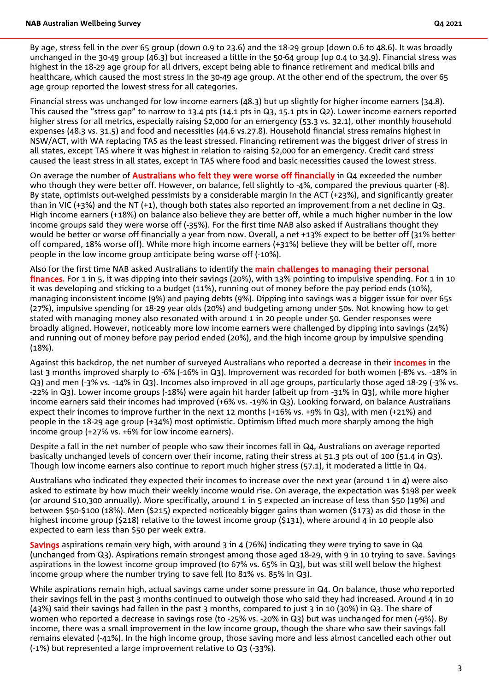By age, stress fell in the over 65 group (down 0.9 to 23.6) and the 18-29 group (down 0.6 to 48.6). It was broadly unchanged in the 30-49 group (46.3) but increased a little in the 50-64 group (up 0.4 to 34.9). Financial stress was highest in the 18-29 age group for all drivers, except being able to finance retirement and medical bills and healthcare, which caused the most stress in the 30-49 age group. At the other end of the spectrum, the over 65 age group reported the lowest stress for all categories.

Financial stress was unchanged for low income earners (48.3) but up slightly for higher income earners (34.8). This caused the "stress gap" to narrow to 13.4 pts (14.1 pts in Q3, 15.1 pts in Q2). Lower income earners reported higher stress for all metrics, especially raising \$2,000 for an emergency (53.3 vs. 32.1), other monthly household expenses (48.3 vs. 31.5) and food and necessities (44.6 vs.27.8). Household financial stress remains highest in NSW/ACT, with WA replacing TAS as the least stressed. Financing retirement was the biggest driver of stress in all states, except TAS where it was highest in relation to raising \$2,000 for an emergency. Credit card stress caused the least stress in all states, except in TAS where food and basic necessities caused the lowest stress.

On average the number of Australians who felt they were worse off financially in Q4 exceeded the number who though they were better off. However, on balance, fell slightly to -4%, compared the previous quarter (-8). By state, optimists out-weighed pessimists by a considerable margin in the ACT (+23%), and significantly greater than in VIC (+3%) and the NT (+1), though both states also reported an improvement from a net decline in Q3. High income earners (+18%) on balance also believe they are better off, while a much higher number in the low income groups said they were worse off (-35%). For the first time NAB also asked if Australians thought they would be better or worse off financially a year from now. Overall, a net +13% expect to be better off (31% better off compared, 18% worse off). While more high income earners (+31%) believe they will be better off, more people in the low income group anticipate being worse off (-10%).

Also for the first time NAB asked Australians to identify the main challenges to managing their personal finances. For 1 in 5, it was dipping into their savings (20%), with 13% pointing to impulsive spending. For 1 in 10 it was developing and sticking to a budget (11%), running out of money before the pay period ends (10%), managing inconsistent income (9%) and paying debts (9%). Dipping into savings was a bigger issue for over 65s (27%), impulsive spending for 18-29 year olds (20%) and budgeting among under 50s. Not knowing how to get stated with managing money also resonated with around 1 in 20 people under 50. Gender responses were broadly aligned. However, noticeably more low income earners were challenged by dipping into savings (24%) and running out of money before pay period ended (20%), and the high income group by impulsive spending (18%).

Against this backdrop, the net number of surveyed Australians who reported a decrease in their *incomes* in the last 3 months improved sharply to -6% (-16% in Q3). Improvement was recorded for both women (-8% vs. -18% in Q3) and men (-3% vs. -14% in Q3). Incomes also improved in all age groups, particularly those aged 18-29 (-3% vs. -22% in Q3). Lower income groups (-18%) were again hit harder (albeit up from -31% in Q3), while more higher income earners said their incomes had improved (+6% vs. -19% in Q3). Looking forward, on balance Australians expect their incomes to improve further in the next 12 months (+16% vs. +9% in Q3), with men (+21%) and people in the 18-29 age group (+34%) most optimistic. Optimism lifted much more sharply among the high income group (+27% vs. +6% for low income earners).

Despite a fall in the net number of people who saw their incomes fall in Q4, Australians on average reported basically unchanged levels of concern over their income, rating their stress at 51.3 pts out of 100 (51.4 in Q3). Though low income earners also continue to report much higher stress (57.1), it moderated a little in Q4.

Australians who indicated they expected their incomes to increase over the next year (around 1 in 4) were also asked to estimate by how much their weekly income would rise. On average, the expectation was \$198 per week (or around \$10,300 annually). More specifically, around 1 in 5 expected an increase of less than \$50 (19%) and between \$50-\$100 (18%). Men (\$215) expected noticeably bigger gains than women (\$173) as did those in the highest income group (\$218) relative to the lowest income group (\$131), where around 4 in 10 people also expected to earn less than \$50 per week extra.

Savings aspirations remain very high, with around 3 in 4 (76%) indicating they were trying to save in Q4 (unchanged from Q3). Aspirations remain strongest among those aged 18-29, with 9 in 10 trying to save. Savings aspirations in the lowest income group improved (to 67% vs. 65% in Q3), but was still well below the highest income group where the number trying to save fell (to 81% vs. 85% in Q3).

While aspirations remain high, actual savings came under some pressure in Q4. On balance, those who reported their savings fell in the past 3 months continued to outweigh those who said they had increased. Around 4 in 10 (43%) said their savings had fallen in the past 3 months, compared to just 3 in 10 (30%) in Q3. The share of women who reported a decrease in savings rose (to -25% vs. -20% in Q3) but was unchanged for men (-9%). By income, there was a small improvement in the low income group, though the share who saw their savings fall remains elevated (-41%). In the high income group, those saving more and less almost cancelled each other out (-1%) but represented a large improvement relative to Q3 (-33%).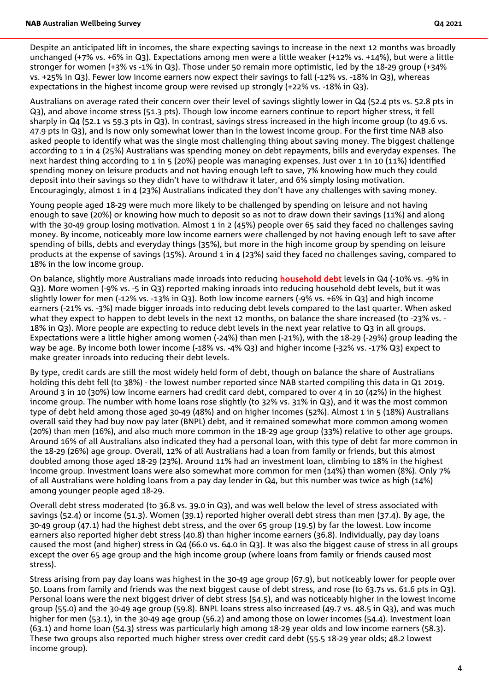Despite an anticipated lift in incomes, the share expecting savings to increase in the next 12 months was broadly unchanged (+7% vs. +6% in Q3). Expectations among men were a little weaker (+12% vs. +14%), but were a little stronger for women (+3% vs -1% in Q3). Those under 50 remain more optimistic, led by the 18-29 group (+34% vs. +25% in Q3). Fewer low income earners now expect their savings to fall (-12% vs. -18% in Q3), whereas expectations in the highest income group were revised up strongly (+22% vs. -18% in Q3).

Australians on average rated their concern over their level of savings slightly lower in Q4 (52.4 pts vs. 52.8 pts in Q3), and above income stress (51.3 pts). Though low income earners continue to report higher stress, it fell sharply in Q4 (52.1 vs 59.3 pts in Q3). In contrast, savings stress increased in the high income group (to 49.6 vs. 47.9 pts in Q3), and is now only somewhat lower than in the lowest income group. For the first time NAB also asked people to identify what was the single most challenging thing about saving money. The biggest challenge according to 1 in 4 (25%) Australians was spending money on debt repayments, bills and everyday expenses. The next hardest thing according to 1 in 5 (20%) people was managing expenses. Just over 1 in 10 (11%) identified spending money on leisure products and not having enough left to save, 7% knowing how much they could deposit into their savings so they didn't have to withdraw it later, and 6% simply losing motivation. Encouragingly, almost 1 in 4 (23%) Australians indicated they don't have any challenges with saving money.

Young people aged 18-29 were much more likely to be challenged by spending on leisure and not having enough to save (20%) or knowing how much to deposit so as not to draw down their savings (11%) and along with the 30-49 group losing motivation. Almost 1 in 2 (45%) people over 65 said they faced no challenges saving money. By income, noticeably more low income earners were challenged by not having enough left to save after spending of bills, debts and everyday things (35%), but more in the high income group by spending on leisure products at the expense of savings (15%). Around 1 in 4 (23%) said they faced no challenges saving, compared to 18% in the low income group.

On balance, slightly more Australians made inroads into reducing **household debt** levels in Q4 (-10% vs. -9% in Q3). More women (-9% vs. -5 in Q3) reported making inroads into reducing household debt levels, but it was slightly lower for men (-12% vs. -13% in Q3). Both low income earners (-9% vs. +6% in Q3) and high income earners (-21% vs. -3%) made bigger inroads into reducing debt levels compared to the last quarter. When asked what they expect to happen to debt levels in the next 12 months, on balance the share increased (to -23% vs. - 18% in Q3). More people are expecting to reduce debt levels in the next year relative to Q3 in all groups. Expectations were a little higher among women (-24%) than men (-21%), with the 18-29 (-29%) group leading the way be age. By income both lower income (-18% vs. -4% Q3) and higher income (-32% vs. -17% Q3) expect to make greater inroads into reducing their debt levels.

By type, credit cards are still the most widely held form of debt, though on balance the share of Australians holding this debt fell (to 38%) - the lowest number reported since NAB started compiling this data in Q1 2019. Around 3 in 10 (30%) low income earners had credit card debt, compared to over 4 in 10 (42%) in the highest income group. The number with home loans rose slightly (to 32% vs. 31% in Q3), and it was the most common type of debt held among those aged 30-49 (48%) and on higher incomes (52%). Almost 1 in 5 (18%) Australians overall said they had buy now pay later (BNPL) debt, and it remained somewhat more common among women (20%) than men (16%), and also much more common in the 18-29 age group (33%) relative to other age groups. Around 16% of all Australians also indicated they had a personal loan, with this type of debt far more common in the 18-29 (26%) age group. Overall, 12% of all Australians had a loan from family or friends, but this almost doubled among those aged 18-29 (23%). Around 11% had an investment loan, climbing to 18% in the highest income group. Investment loans were also somewhat more common for men (14%) than women (8%). Only 7% of all Australians were holding loans from a pay day lender in Q4, but this number was twice as high (14%) among younger people aged 18-29.

Overall debt stress moderated (to 36.8 vs. 39.0 in Q3), and was well below the level of stress associated with savings (52.4) or income (51.3). Women (39.1) reported higher overall debt stress than men (37.4). By age, the 30-49 group (47.1) had the highest debt stress, and the over 65 group (19.5) by far the lowest. Low income earners also reported higher debt stress (40.8) than higher income earners (36.8). Individually, pay day loans caused the most (and higher) stress in Q4 (66.0 vs. 64.0 in Q3). It was also the biggest cause of stress in all groups except the over 65 age group and the high income group (where loans from family or friends caused most stress).

Stress arising from pay day loans was highest in the 30-49 age group (67.9), but noticeably lower for people over 50. Loans from family and friends was the next biggest cause of debt stress, and rose (to 63.7s vs. 61.6 pts in Q3). Personal loans were the next biggest driver of debt stress (54.5), and was noticeably higher in the lowest income group (55.0) and the 30-49 age group (59.8). BNPL loans stress also increased (49.7 vs. 48.5 in Q3), and was much higher for men (53.1), in the 30-49 age group (56.2) and among those on lower incomes (54.4). Investment loan (63.1) and home loan (54.3) stress was particularly high among 18-29 year olds and low income earners (58.3). These two groups also reported much higher stress over credit card debt (55.5 18-29 year olds; 48.2 lowest income group).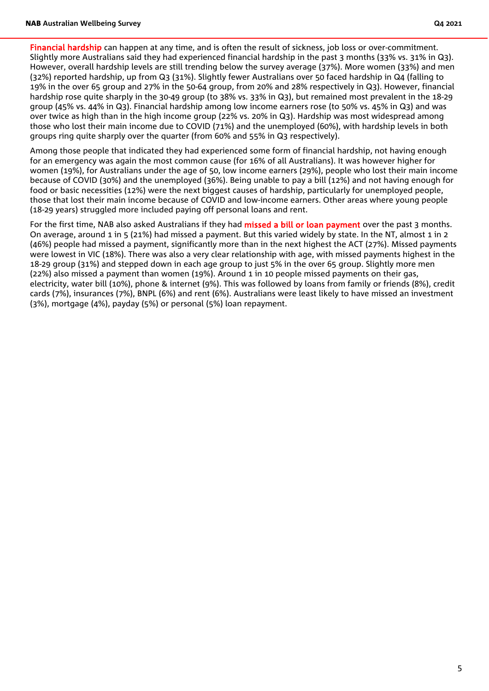Financial hardship can happen at any time, and is often the result of sickness, job loss or over-commitment. Slightly more Australians said they had experienced financial hardship in the past 3 months (33% vs. 31% in Q3). However, overall hardship levels are still trending below the survey average (37%). More women (33%) and men (32%) reported hardship, up from Q3 (31%). Slightly fewer Australians over 50 faced hardship in Q4 (falling to 19% in the over 65 group and 27% in the 50-64 group, from 20% and 28% respectively in Q3). However, financial hardship rose quite sharply in the 30-49 group (to 38% vs. 33% in Q3), but remained most prevalent in the 18-29 group (45% vs. 44% in Q3). Financial hardship among low income earners rose (to 50% vs. 45% in Q3) and was over twice as high than in the high income group (22% vs. 20% in Q3). Hardship was most widespread among those who lost their main income due to COVID (71%) and the unemployed (60%), with hardship levels in both groups ring quite sharply over the quarter (from 60% and 55% in Q3 respectively).

Among those people that indicated they had experienced some form of financial hardship, not having enough for an emergency was again the most common cause (for 16% of all Australians). It was however higher for women (19%), for Australians under the age of 50, low income earners (29%), people who lost their main income because of COVID (30%) and the unemployed (36%). Being unable to pay a bill (12%) and not having enough for food or basic necessities (12%) were the next biggest causes of hardship, particularly for unemployed people, those that lost their main income because of COVID and low-income earners. Other areas where young people (18-29 years) struggled more included paying off personal loans and rent.

For the first time, NAB also asked Australians if they had **missed a bill or loan payment** over the past 3 months. On average, around 1 in 5 (21%) had missed a payment. But this varied widely by state. In the NT, almost 1 in 2 (46%) people had missed a payment, significantly more than in the next highest the ACT (27%). Missed payments were lowest in VIC (18%). There was also a very clear relationship with age, with missed payments highest in the 18-29 group (31%) and stepped down in each age group to just 5% in the over 65 group. Slightly more men (22%) also missed a payment than women (19%). Around 1 in 10 people missed payments on their gas, electricity, water bill (10%), phone & internet (9%). This was followed by loans from family or friends (8%), credit cards (7%), insurances (7%), BNPL (6%) and rent (6%). Australians were least likely to have missed an investment (3%), mortgage (4%), payday (5%) or personal (5%) loan repayment.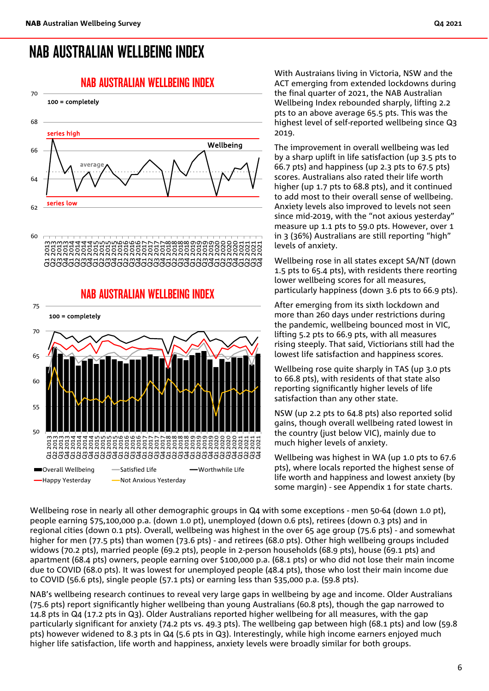## NAB AUSTRALIAN WELLBEING INDEX





With Austraians living in Victoria, NSW and the ACT emerging from extended lockdowns during the final quarter of 2021, the NAB Australian Wellbeing Index rebounded sharply, lifting 2.2 pts to an above average 65.5 pts. This was the highest level of self-reported wellbeing since Q3 2019.

The improvement in overall wellbeing was led by a sharp uplift in life satisfaction (up 3.5 pts to 66.7 pts) and happiness (up 2.3 pts to 67.5 pts) scores. Australians also rated their life worth higher (up 1.7 pts to 68.8 pts), and it continued to add most to their overall sense of wellbeing. Anxiety levels also improved to levels not seen since mid-2019, with the "not axious yesterday" measure up 1.1 pts to 59.0 pts. However, over 1 in 3 (36%) Australians are still reporting "high" levels of anxiety.

Wellbeing rose in all states except SA/NT (down 1.5 pts to 65.4 pts), with residents there reorting lower wellbeing scores for all measures, particularly happiness (down 3.6 pts to 66.9 pts).

After emerging from its sixth lockdown and more than 260 days under restrictions during the pandemic, wellbeing bounced most in VIC, lifting 5.2 pts to 66.9 pts, with all measures rising steeply. That said, Victiorians still had the lowest life satisfaction and happiness scores.

Wellbeing rose quite sharply in TAS (up 3.0 pts to 66.8 pts), with residents of that state also reporting significantly higher levels of life satisfaction than any other state.

NSW (up 2.2 pts to 64.8 pts) also reported solid gains, though overall wellbeing rated lowest in the country (just below VIC), mainly due to much higher levels of anxiety.

Wellbeing was highest in WA (up 1.0 pts to 67.6 pts), where locals reported the highest sense of life worth and happiness and lowest anxiety (by some margin) - see Appendix 1 for state charts.

Wellbeing rose in nearly all other demographic groups in Q4 with some exceptions - men 50-64 (down 1.0 pt), people earning \$75,100,000 p.a. (down 1.0 pt), unemployed (down 0.6 pts), retirees (down 0.3 pts) and in regional cities (down 0.1 pts). Overall, wellbeing was highest in the over 65 age group (75.6 pts) - and somewhat higher for men (77.5 pts) than women (73.6 pts) - and retirees (68.0 pts). Other high wellbeing groups included widows (70.2 pts), married people (69.2 pts), people in 2-person households (68.9 pts), house (69.1 pts) and apartment (68.4 pts) owners, people earning over \$100,000 p.a. (68.1 pts) or who did not lose their main income due to COVID (68.0 pts). It was lowest for unemployed people (48.4 pts), those who lost their main income due to COVID (56.6 pts), single people (57.1 pts) or earning less than \$35,000 p.a. (59.8 pts).

NAB's wellbeing research continues to reveal very large gaps in wellbeing by age and income. Older Australians (75.6 pts) report significantly higher wellbeing than young Australians (60.8 pts), though the gap narrowed to 14.8 pts in Q4 (17.2 pts in Q3). Older Australians reported higher wellbeing for all measures, with the gap particularly significant for anxiety (74.2 pts vs. 49.3 pts). The wellbeing gap between high (68.1 pts) and low (59.8 pts) however widened to 8.3 pts in Q4 (5.6 pts in Q3). Interestingly, while high income earners enjoyed much higher life satisfaction, life worth and happiness, anxiety levels were broadly similar for both groups.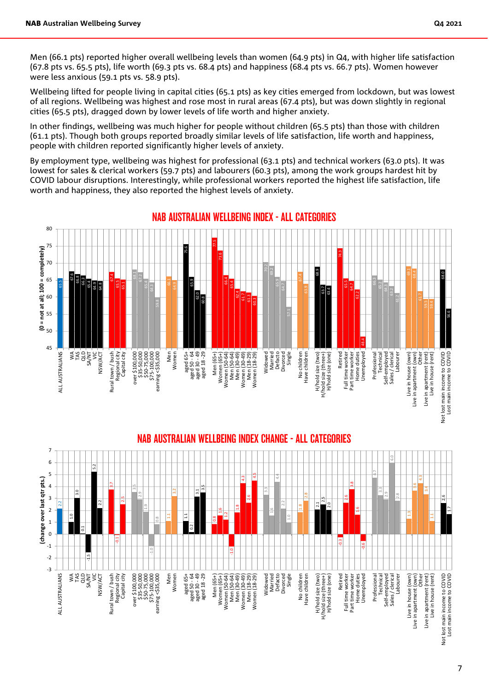Men (66.1 pts) reported higher overall wellbeing levels than women (64.9 pts) in Q4, with higher life satisfaction (67.8 pts vs. 65.5 pts), life worth (69.3 pts vs. 68.4 pts) and happiness (68.4 pts vs. 66.7 pts). Women however were less anxious (59.1 pts vs. 58.9 pts).

Wellbeing lifted for people living in capital cities (65.1 pts) as key cities emerged from lockdown, but was lowest of all regions. Wellbeing was highest and rose most in rural areas (67.4 pts), but was down slightly in regional cities (65.5 pts), dragged down by lower levels of life worth and higher anxiety.

In other findings, wellbeing was much higher for people without children (65.5 pts) than those with children (61.1 pts). Though both groups reported broadly similar levels of life satisfaction, life worth and happiness, people with children reported significantly higher levels of anxiety.

By employment type, wellbeing was highest for professional (63.1 pts) and technical workers (63.0 pts). It was lowest for sales & clerical workers (59.7 pts) and labourers (60.3 pts), among the work groups hardest hit by COVID labour disruptions. Interestingly, while professional workers reported the highest life satisfaction, life worth and happiness, they also reported the highest levels of anxiety.



#### NAB AUSTRALIAN WELLBEING INDEX - ALL CATEGORIES



 $\frac{1}{2}$  $\frac{1}{2}$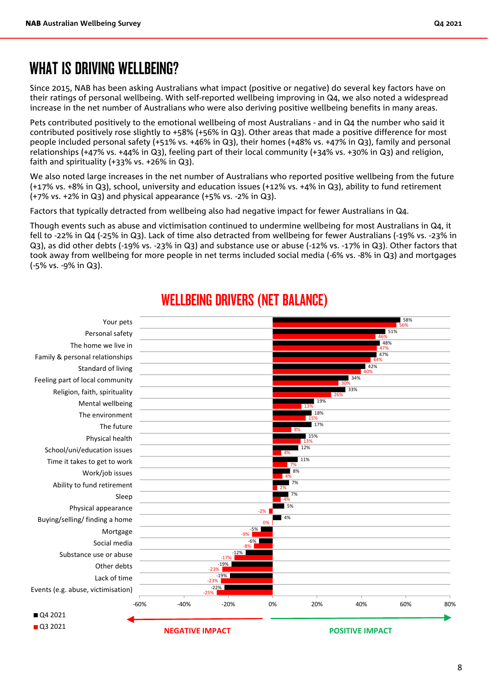## WHAT IS DRIVING WELL BEING?

Since 2015, NAB has been asking Australians what impact (positive or negative) do several key factors have on their ratings of personal wellbeing. With self-reported wellbeing improving in Q4, we also noted a widespread increase in the net number of Australians who were also deriving positive wellbeing benefits in many areas.

Pets contributed positively to the emotional wellbeing of most Australians - and in Q4 the number who said it contributed positively rose slightly to +58% (+56% in Q3). Other areas that made a positive difference for most people included personal safety (+51% vs. +46% in Q3), their homes (+48% vs. +47% in Q3), family and personal relationships (+47% vs. +44% in Q3), feeling part of their local community (+34% vs. +30% in Q3) and religion, faith and spirituality (+33% vs. +26% in Q3).

We also noted large increases in the net number of Australians who reported positive wellbeing from the future (+17% vs. +8% in Q3), school, university and education issues (+12% vs. +4% in Q3), ability to fund retirement (+7% vs. +2% in Q3) and physical appearance (+5% vs. -2% in Q3).

Factors that typically detracted from wellbeing also had negative impact for fewer Australians in Q4.

Though events such as abuse and victimisation continued to undermine wellbeing for most Australians in Q4, it fell to -22% in Q4 (-25% in Q3). Lack of time also detracted from wellbeing for fewer Australians (-19% vs. -23% in Q3), as did other debts (-19% vs. -23% in Q3) and substance use or abuse (-12% vs. -17% in Q3). Other factors that took away from wellbeing for more people in net terms included social media (-6% vs. -8% in Q3) and mortgages (-5% vs. -9% in Q3).



## WELLBEING DRIVERS (NET BALANCE)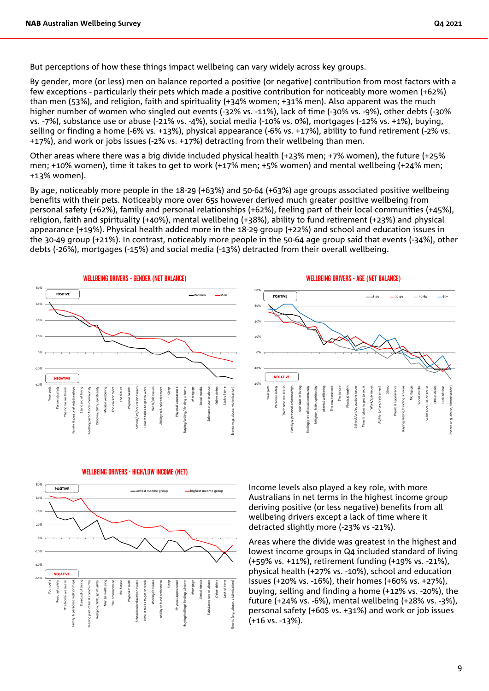But perceptions of how these things impact wellbeing can vary widely across key groups.

By gender, more (or less) men on balance reported a positive (or negative) contribution from most factors with a few exceptions - particularly their pets which made a positive contribution for noticeably more women (+62%) than men (53%), and religion, faith and spirituality (+34% women; +31% men). Also apparent was the much higher number of women who singled out events (-32% vs. -11%), lack of time (-30% vs. -9%), other debts (-30% vs. -7%), substance use or abuse (-21% vs. -4%), social media (-10% vs. 0%), mortgages (-12% vs. +1%), buying, selling or finding a home (-6% vs. +13%), physical appearance (-6% vs. +17%), ability to fund retirement (-2% vs. +17%), and work or jobs issues (-2% vs. +17%) detracting from their wellbeing than men.

Other areas where there was a big divide included physical health (+23% men; +7% women), the future (+25% men; +10% women), time it takes to get to work (+17% men; +5% women) and mental wellbeing (+24% men; +13% women).

By age, noticeably more people in the 18-29 (+63%) and 50-64 (+63%) age groups associated positive wellbeing benefits with their pets. Noticeably more over 65s however derived much greater positive wellbeing from personal safety (+62%), family and personal relationships (+62%), feeling part of their local communities (+45%), religion, faith and spirituality (+40%), mental wellbeing (+38%), ability to fund retirement (+23%) and physical appearance (+19%). Physical health added more in the 18-29 group (+22%) and school and education issues in the 30-49 group (+21%). In contrast, noticeably more people in the 50-64 age group said that events (-34%), other debts (-26%), mortgages (-15%) and social media (-13%) detracted from their overall wellbeing.





WELLBEING DRIVERS - HIGH/LOW INCOME (NET)



Income levels also played a key role, with more Australians in net terms in the highest income group deriving positive (or less negative) benefits from all wellbeing drivers except a lack of time where it detracted slightly more (-23% vs -21%).

Areas where the divide was greatest in the highest and lowest income groups in Q4 included standard of living (+59% vs. +11%), retirement funding (+19% vs. -21%), physical health (+27% vs. -10%), school and education issues (+20% vs. -16%), their homes (+60% vs. +27%), buying, selling and finding a home (+12% vs. -20%), the future (+24% vs. -6%), mental wellbeing (+28% vs. -3%), personal safety (+60\$ vs. +31%) and work or job issues (+16 vs. -13%).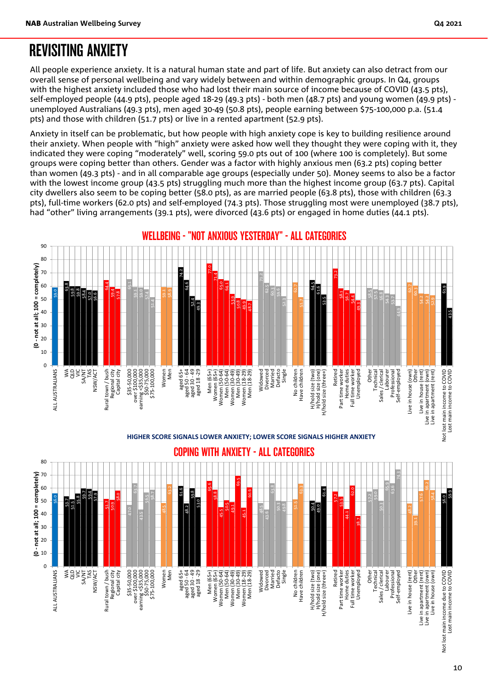## REVISITING ANXIETY

All people experience anxiety. It is a natural human state and part of life. But anxiety can also detract from our overall sense of personal wellbeing and vary widely between and within demographic groups. In Q4, groups with the highest anxiety included those who had lost their main source of income because of COVID (43.5 pts), self-employed people (44.9 pts), people aged 18-29 (49.3 pts) - both men (48.7 pts) and young women (49.9 pts) unemployed Australians (49.3 pts), men aged 30-49 (50.8 pts), people earning between \$75-100,000 p.a. (51.4 pts) and those with children (51.7 pts) or live in a rented apartment (52.9 pts).

Anxiety in itself can be problematic, but how people with high anxiety cope is key to building resilience around their anxiety. When people with "high" anxiety were asked how well they thought they were coping with it, they indicated they were coping "moderately" well, scoring 59.0 pts out of 100 (where 100 is completely). But some groups were coping better than others. Gender was a factor with highly anxious men (63.2 pts) coping better than women (49.3 pts) - and in all comparable age groups (especially under 50). Money seems to also be a factor with the lowest income group (43.5 pts) struggling much more than the highest income group (63.7 pts). Capital city dwellers also seem to be coping better (58.0 pts), as are married people (63.8 pts), those with children (63.3 pts), full-time workers (62.0 pts) and self-employed (74.3 pts). Those struggling most were unemployed (38.7 pts), had "other" living arrangements (39.1 pts), were divorced (43.6 pts) or engaged in home duties (44.1 pts).



**HIGHER SCORE SIGNALS LOWER ANXIETY; LOWER SCORE SIGNALS HIGHER ANXIETY**

COPING WITH ANXIETY - ALL CATEGORIES

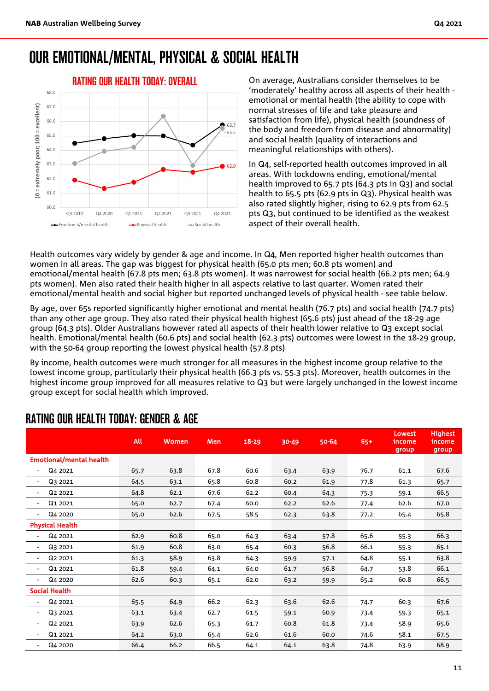## OUR EMOTIONAL/MENTAL, PHYSICAL & SOCIAL HEALTH



On average, Australians consider themselves to be 'moderately' healthy across all aspects of their health emotional or mental health (the ability to cope with normal stresses of life and take pleasure and satisfaction from life), physical health (soundness of the body and freedom from disease and abnormality) and social health (quality of interactions and meaningful relationships with others).

In Q4, self-reported health outcomes improved in all areas. With lockdowns ending, emotional/mental health improved to 65.7 pts (64.3 pts in Q3) and social health to 65.5 pts (62.9 pts in Q3). Physical health was also rated slightly higher, rising to 62.9 pts from 62.5 pts Q3, but continued to be identified as the weakest aspect of their overall health.

Health outcomes vary widely by gender & age and income. In Q4, Men reported higher health outcomes than women in all areas. The gap was biggest for physical health (65.0 pts men; 60.8 pts women) and emotional/mental health (67.8 pts men; 63.8 pts women). It was narrowest for social health (66.2 pts men; 64.9 pts women). Men also rated their health higher in all aspects relative to last quarter. Women rated their emotional/mental health and social higher but reported unchanged levels of physical health - see table below.

By age, over 65s reported significantly higher emotional and mental health (76.7 pts) and social health (74.7 pts) than any other age group. They also rated their physical health highest (65.6 pts) just ahead of the 18-29 age group (64.3 pts). Older Australians however rated all aspects of their health lower relative to Q3 except social health. Emotional/mental health (60.6 pts) and social health (62.3 pts) outcomes were lowest in the 18-29 group, with the 50-64 group reporting the lowest physical health (57.8 pts)

By income, health outcomes were much stronger for all measures in the highest income group relative to the lowest income group, particularly their physical health (66.3 pts vs. 55.3 pts). Moreover, health outcomes in the highest income group improved for all measures relative to Q3 but were largely unchanged in the lowest income group except for social health which improved.

|                                                 | All  | <b>Women</b> | <b>Men</b> | $18 - 29$ | 30-49 | 50-64 | $65+$ | Lowest<br>income<br>group | <b>Highest</b><br>income<br>group |
|-------------------------------------------------|------|--------------|------------|-----------|-------|-------|-------|---------------------------|-----------------------------------|
| <b>Emotional/mental health</b>                  |      |              |            |           |       |       |       |                           |                                   |
| Q4 2021                                         | 65.7 | 63.8         | 67.8       | 60.6      | 63.4  | 63.9  | 76.7  | 61.1                      | 67.6                              |
| Q3 2021<br>$\overline{\phantom{a}}$             | 64.5 | 63.1         | 65.8       | 60.8      | 60.2  | 61.9  | 77.8  | 61.3                      | 65.7                              |
| Q <sub>2</sub> 2021<br>$\overline{\phantom{a}}$ | 64.8 | 62.1         | 67.6       | 62.2      | 60.4  | 64.3  | 75.3  | 59.1                      | 66.5                              |
| Q1 2021<br>$\overline{\phantom{a}}$             | 65.0 | 62.7         | 67.4       | 60.0      | 62.2  | 62.6  | 77.4  | 62.6                      | 67.0                              |
| Q4 2020                                         | 65.0 | 62.6         | 67.5       | 58.5      | 62.3  | 63.8  | 77.2  | 65.4                      | 65.8                              |
| <b>Physical Health</b>                          |      |              |            |           |       |       |       |                           |                                   |
| Q4 2021<br>٠                                    | 62.9 | 60.8         | 65.0       | 64.3      | 63.4  | 57.8  | 65.6  | 55.3                      | 66.3                              |
| Q3 2021<br>$\overline{\phantom{a}}$             | 61.9 | 60.8         | 63.0       | 65.4      | 60.3  | 56.8  | 66.1  | 55.3                      | 65.1                              |
| Q <sub>2</sub> 2021<br>$\overline{\phantom{a}}$ | 61.3 | 58.9         | 63.8       | 64.3      | 59.9  | 57.1  | 64.8  | 55.1                      | 63.8                              |
| Q1 2021<br>$\overline{\phantom{a}}$             | 61.8 | 59.4         | 64.1       | 64.0      | 61.7  | 56.8  | 64.7  | 53.8                      | 66.1                              |
| Q4 2020<br>$\overline{a}$                       | 62.6 | 60.3         | 65.1       | 62.0      | 63.2  | 59.9  | 65.2  | 60.8                      | 66.5                              |
| <b>Social Health</b>                            |      |              |            |           |       |       |       |                           |                                   |
| Q4 2021<br>$\overline{\phantom{a}}$             | 65.5 | 64.9         | 66.2       | 62.3      | 63.6  | 62.6  | 74.7  | 60.3                      | 67.6                              |
| Q3 2021<br>$\overline{\phantom{a}}$             | 63.1 | 63.4         | 62.7       | 61.5      | 59.1  | 60.9  | 73.4  | 59.3                      | 65.1                              |
| Q2 2021<br>$\overline{\phantom{a}}$             | 63.9 | 62.6         | 65.3       | 61.7      | 60.8  | 61.8  | 73.4  | 58.9                      | 65.6                              |
| Q1 2021<br>$\overline{\phantom{a}}$             | 64.2 | 63.0         | 65.4       | 62.6      | 61.6  | 60.0  | 74.6  | 58.1                      | 67.5                              |
| Q4 2020<br>$\overline{\phantom{a}}$             | 66.4 | 66.2         | 66.5       | 64.1      | 64.1  | 63.8  | 74.8  | 63.9                      | 68.9                              |

### RATING OUR HEALTH TODAY: GENDER & AGE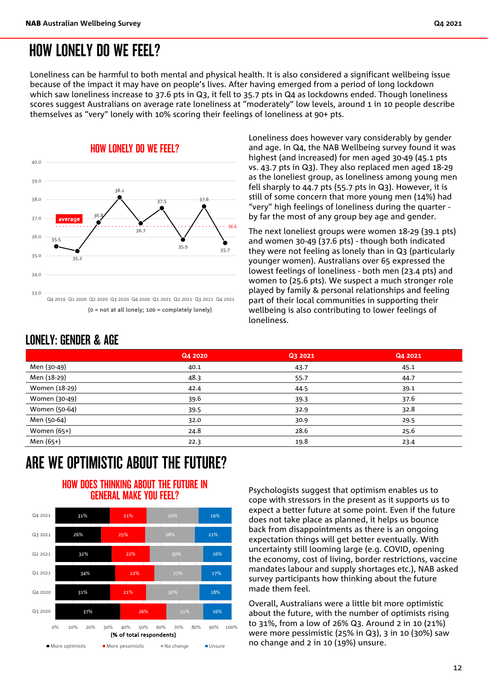Loneliness can be harmful to both mental and physical health. It is also considered a significant wellbeing issue because of the impact it may have on people's lives. After having emerged from a period of long lockdown which saw loneliness increase to 37.6 pts in Q3, it fell to 35.7 pts in Q4 as lockdowns ended. Though loneliness scores suggest Australians on average rate loneliness at "moderately" low levels, around 1 in 10 people describe themselves as "very" lonely with 10% scoring their feelings of loneliness at 90+ pts.



Loneliness does however vary considerably by gender and age. In Q4, the NAB Wellbeing survey found it was highest (and increased) for men aged 30-49 (45.1 pts vs. 43.7 pts in Q3). They also replaced men aged 18-29 as the loneliest group, as loneliness among young men fell sharply to 44.7 pts (55.7 pts in Q3). However, it is still of some concern that more young men (14%) had "very" high feelings of loneliness during the quarter by far the most of any group bey age and gender.

The next loneliest groups were women 18-29 (39.1 pts) and women 30-49 (37.6 pts) - though both indicated they were not feeling as lonely than in Q3 (particularly younger women). Australians over 65 expressed the lowest feelings of loneliness - both men (23.4 pts) and women to (25.6 pts). We suspect a much stronger role played by family & personal relationships and feeling part of their local communities in supporting their wellbeing is also contributing to lower feelings of loneliness.

### LONELY: GENDER & AGE

|               | Q4 2020 | Q3 2021 | Q4 2021 |
|---------------|---------|---------|---------|
| Men (30-49)   | 40.1    | 43.7    | 45.1    |
| Men (18-29)   | 48.3    | 55.7    | 44.7    |
| Women (18-29) | 42.4    | 44.5    | 39.1    |
| Women (30-49) | 39.6    | 39.3    | 37.6    |
| Women (50-64) | 39.5    | 32.9    | 32.8    |
| Men (50-64)   | 32.0    | 30.9    | 29.5    |
| Women (65+)   | 24.8    | 28.6    | 25.6    |
| Men (65+)     | 22.3    | 19.8    | 23.4    |
|               |         |         |         |

## ARE WE OPTIMISTIC ABOUT THE FUTURE?

#### HOW DOES THINKING ABOUT THE FUTURE IN GENERAL MAKE YOU FEEL?



Psychologists suggest that optimism enables us to cope with stressors in the present as it supports us to expect a better future at some point. Even if the future does not take place as planned, it helps us bounce back from disappointments as there is an ongoing expectation things will get better eventually. With uncertainty still looming large (e.g. COVID, opening the economy, cost of living, border restrictions, vaccine mandates labour and supply shortages etc.), NAB asked survey participants how thinking about the future made them feel.

Overall, Australians were a little bit more optimistic about the future, with the number of optimists rising to 31%, from a low of 26% Q3. Around 2 in 10 (21%) were more pessimistic (25% in Q3), 3 in 10 (30%) saw no change and 2 in 10 (19%) unsure.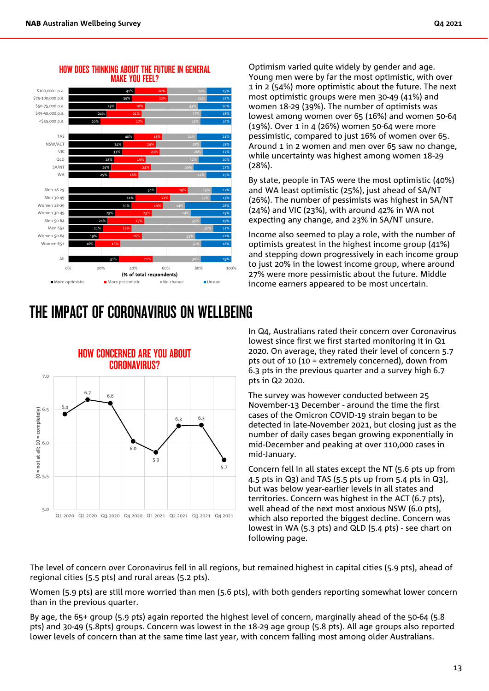

#### HOW DOES THINKING ABOUT THE FUTURE IN GENERAL MAKE YOU FEEL?

## THE IMPACT OF CORONAVIRUS ON WELLBEING



Optimism varied quite widely by gender and age. Young men were by far the most optimistic, with over 1 in 2 (54%) more optimistic about the future. The next most optimistic groups were men 30-49 (41%) and women 18-29 (39%). The number of optimists was lowest among women over 65 (16%) and women 50-64 (19%). Over 1 in 4 (26%) women 50-64 were more pessimistic, compared to just 16% of women over 65. Around 1 in 2 women and men over 65 saw no change, while uncertainty was highest among women 18-29 (28%).

By state, people in TAS were the most optimistic (40%) and WA least optimistic (25%), just ahead of SA/NT (26%). The number of pessimists was highest in SA/NT (24%) and VIC (23%), with around 42% in WA not expecting any change, and 23% in SA/NT unsure.

Income also seemed to play a role, with the number of optimists greatest in the highest income group (41%) and stepping down progressively in each income group to just 20% in the lowest income group, where around 27% were more pessimistic about the future. Middle income earners appeared to be most uncertain.

In Q4, Australians rated their concern over Coronavirus lowest since first we first started monitoring it in Q1 2020. On average, they rated their level of concern 5.7 pts out of 10 (10 = extremely concerned), down from 6.3 pts in the previous quarter and a survey high 6.7 pts in Q2 2020.

The survey was however conducted between 25 November-13 December - around the time the first cases of the Omicron COVID-19 strain began to be detected in late-November 2021, but closing just as the number of daily cases began growing exponentially in mid-December and peaking at over 110,000 cases in mid-January.

Concern fell in all states except the NT (5.6 pts up from 4.5 pts in Q3) and TAS (5.5 pts up from 5.4 pts in Q3), but was below year-earlier levels in all states and territories. Concern was highest in the ACT (6.7 pts), well ahead of the next most anxious NSW (6.0 pts), which also reported the biggest decline. Concern was lowest in WA (5.3 pts) and QLD (5.4 pts) - see chart on following page.

The level of concern over Coronavirus fell in all regions, but remained highest in capital cities (5.9 pts), ahead of regional cities (5.5 pts) and rural areas (5.2 pts).

Women (5.9 pts) are still more worried than men (5.6 pts), with both genders reporting somewhat lower concern than in the previous quarter.

By age, the 65+ group (5.9 pts) again reported the highest level of concern, marginally ahead of the 50-64 (5.8 pts) and 30-49 (5.8pts) groups. Concern was lowest in the 18-29 age group (5.8 pts). All age groups also reported lower levels of concern than at the same time last year, with concern falling most among older Australians.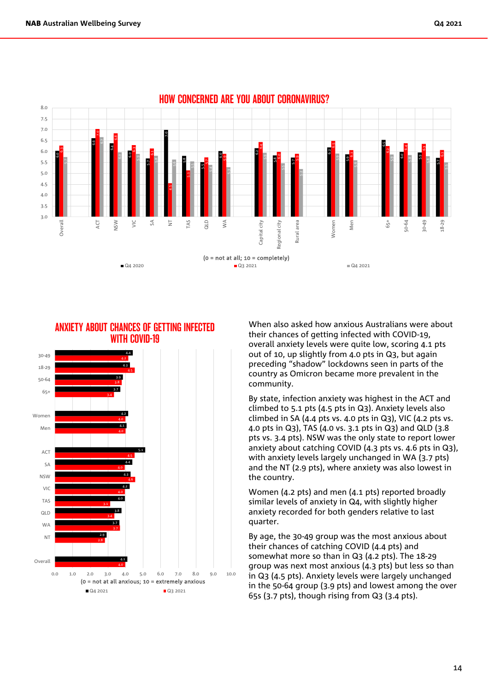



When also asked how anxious Australians were about their chances of getting infected with COVID-19, overall anxiety levels were quite low, scoring 4.1 pts out of 10, up slightly from 4.0 pts in Q3, but again preceding "shadow" lockdowns seen in parts of the country as Omicron became more prevalent in the community.

By state, infection anxiety was highest in the ACT and climbed to 5.1 pts (4.5 pts in Q3). Anxiety levels also climbed in SA (4.4 pts vs. 4.0 pts in  $Q_3$ ), VIC (4.2 pts vs. 4.0 pts in Q3), TAS (4.0 vs. 3.1 pts in Q3) and QLD (3.8 pts vs. 3.4 pts). NSW was the only state to report lower anxiety about catching COVID (4.3 pts vs. 4.6 pts in Q3), with anxiety levels largely unchanged in WA (3.7 pts) and the NT (2.9 pts), where anxiety was also lowest in the country.

Women (4.2 pts) and men (4.1 pts) reported broadly similar levels of anxiety in Q4, with slightly higher anxiety recorded for both genders relative to last quarter.

By age, the 30-49 group was the most anxious about their chances of catching COVID (4.4 pts) and somewhat more so than in Q3 (4.2 pts). The 18-29 group was next most anxious (4.3 pts) but less so than in Q3 (4.5 pts). Anxiety levels were largely unchanged in the 50-64 group (3.9 pts) and lowest among the over 65s (3.7 pts), though rising from Q3 (3.4 pts).

#### 14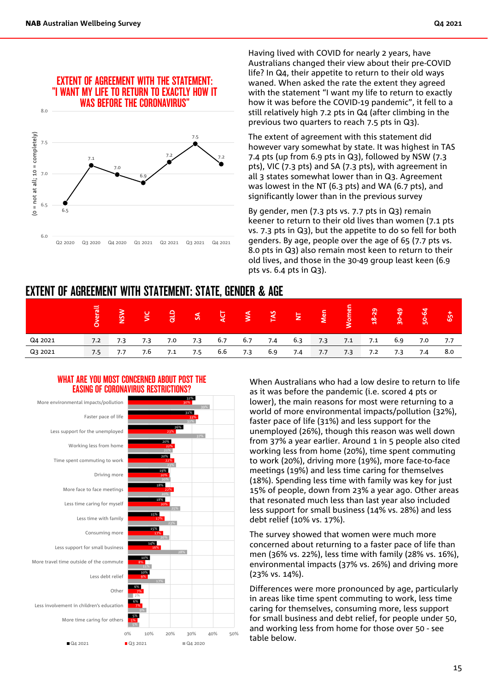

Having lived with COVID for nearly 2 years, have Australians changed their view about their pre-COVID life? In Q4, their appetite to return to their old ways waned. When asked the rate the extent they agreed with the statement "I want my life to return to exactly how it was before the COVID-19 pandemic", it fell to a still relatively high 7.2 pts in Q4 (after climbing in the previous two quarters to reach 7.5 pts in Q3).

The extent of agreement with this statement did however vary somewhat by state. It was highest in TAS 7.4 pts (up from 6.9 pts in Q3), followed by NSW (7.3 pts), VIC (7.3 pts) and SA (7.3 pts), with agreement in all 3 states somewhat lower than in Q3. Agreement was lowest in the NT (6.3 pts) and WA (6.7 pts), and significantly lower than in the previous survey

By gender, men (7.3 pts vs. 7.7 pts in Q3) remain keener to return to their old lives than women (7.1 pts vs. 7.3 pts in Q3), but the appetite to do so fell for both genders. By age, people over the age of 65 (7.7 pts vs. 8.0 pts in Q3) also remain most keen to return to their old lives, and those in the 30-49 group least keen (6.9 pts vs. 6.4 pts in Q3).

### EXTENT OF AGREEMENT WITH STATEMENT: STATE, GENDER & AGE

| Q4 2021 |  | 7.2 7.3 7.3 7.0 7.3 6.7 6.7 7.4 6.3 7.3 7.1 7.1 6.9 7.0 7.7 |  |  |  |  |  |  |
|---------|--|-------------------------------------------------------------|--|--|--|--|--|--|
| Q3 2021 |  | 7.5 7.7 7.6 7.1 7.5 6.6 7.3 6.9 7.4 7.7 7.3 7.2 7.3 7.4 8.0 |  |  |  |  |  |  |

#### WHAT ARE YOU MOST CONCERNED ABOUT POST THE EASING OF CORONAVIRUS RESTRICTIONS?



When Australians who had a low desire to return to life as it was before the pandemic (i.e. scored 4 pts or lower), the main reasons for most were returning to a world of more environmental impacts/pollution (32%), faster pace of life (31%) and less support for the unemployed (26%), though this reason was well down from 37% a year earlier. Around 1 in 5 people also cited working less from home (20%), time spent commuting to work (20%), driving more (19%), more face-to-face meetings (19%) and less time caring for themselves (18%). Spending less time with family was key for just 15% of people, down from 23% a year ago. Other areas that resonated much less than last year also included less support for small business (14% vs. 28%) and less debt relief (10% vs. 17%).

The survey showed that women were much more concerned about returning to a faster pace of life than men (36% vs. 22%), less time with family (28% vs. 16%), environmental impacts (37% vs. 26%) and driving more (23% vs. 14%).

Differences were more pronounced by age, particularly in areas like time spent commuting to work, less time caring for themselves, consuming more, less support for small business and debt relief, for people under 50, and working less from home for those over 50 - see table below.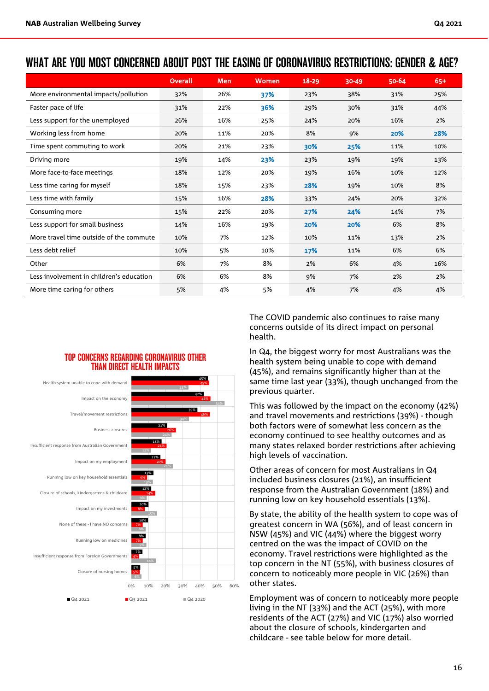### WHAT ARE YOU MOST CONCERNED ABOUT POST THE EASING OF CORONAVIRUS RESTRICTIONS: GENDER & AGE?

|                                          | Overall | Men | <b>Women</b> | $18 - 29$ | 30-49 | 50-64 | $65+$ |
|------------------------------------------|---------|-----|--------------|-----------|-------|-------|-------|
| More environmental impacts/pollution     | 32%     | 26% | 37%          | 23%       | 38%   | 31%   | 25%   |
| Faster pace of life                      | 31%     | 22% | 36%          | 29%       | 30%   | 31%   | 44%   |
| Less support for the unemployed          | 26%     | 16% | 25%          | 24%       | 20%   | 16%   | 2%    |
| Working less from home                   | 20%     | 11% | 20%          | 8%        | 9%    | 20%   | 28%   |
| Time spent commuting to work             | 20%     | 21% | 23%          | 30%       | 25%   | 11%   | 10%   |
| Driving more                             | 19%     | 14% | 23%          | 23%       | 19%   | 19%   | 13%   |
| More face-to-face meetings               | 18%     | 12% | 20%          | 19%       | 16%   | 10%   | 12%   |
| Less time caring for myself              | 18%     | 15% | 23%          | 28%       | 19%   | 10%   | 8%    |
| Less time with family                    | 15%     | 16% | 28%          | 33%       | 24%   | 20%   | 32%   |
| Consuming more                           | 15%     | 22% | 20%          | 27%       | 24%   | 14%   | 7%    |
| Less support for small business          | 14%     | 16% | 19%          | 20%       | 20%   | 6%    | 8%    |
| More travel time outside of the commute  | 10%     | 7%  | 12%          | 10%       | 11%   | 13%   | 2%    |
| Less debt relief                         | 10%     | 5%  | 10%          | 17%       | 11%   | 6%    | 6%    |
| Other                                    | 6%      | 7%  | 8%           | 2%        | 6%    | 4%    | 16%   |
| Less involvement in children's education | 6%      | 6%  | 8%           | 9%        | 7%    | 2%    | 2%    |
| More time caring for others              | 5%      | 4%  | 5%           | 4%        | 7%    | 4%    | 4%    |

#### TOP CONCERNS REGARDING CORONAVIRUS OTHER THAN DIRECT HEALTH IMPACTS



The COVID pandemic also continues to raise many concerns outside of its direct impact on personal health.

In Q4, the biggest worry for most Australians was the health system being unable to cope with demand (45%), and remains significantly higher than at the same time last year (33%), though unchanged from the previous quarter.

This was followed by the impact on the economy (42%) and travel movements and restrictions (39%) - though both factors were of somewhat less concern as the economy continued to see healthy outcomes and as many states relaxed border restrictions after achieving high levels of vaccination.

Other areas of concern for most Australians in Q4 included business closures (21%), an insufficient response from the Australian Government (18%) and running low on key household essentials (13%).

By state, the ability of the health system to cope was of greatest concern in WA (56%), and of least concern in NSW (45%) and VIC (44%) where the biggest worry centred on the was the impact of COVID on the economy. Travel restrictions were highlighted as the top concern in the NT (55%), with business closures of concern to noticeably more people in VIC (26%) than other states.

Employment was of concern to noticeably more people living in the NT (33%) and the ACT (25%), with more residents of the ACT (27%) and VIC (17%) also worried about the closure of schools, kindergarten and childcare - see table below for more detail.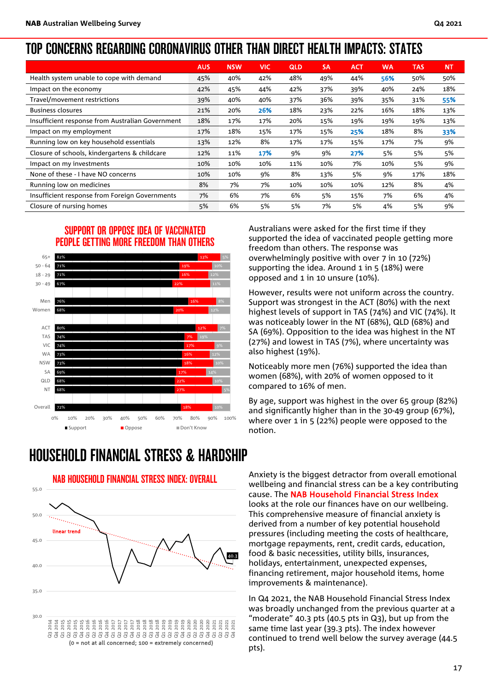### TOP CONCERNS REGARDING CORONAVIRUS OTHER THAN DIRECT HEALTH IMPACTS: STATES

|                                                  | <b>AUS</b> | <b>NSW</b> | VIC. | <b>QLD</b> | <b>SA</b> | <b>ACT</b> | <b>WA</b> | <b>TAS</b> | <b>NT</b> |
|--------------------------------------------------|------------|------------|------|------------|-----------|------------|-----------|------------|-----------|
| Health system unable to cope with demand         | 45%        | 40%        | 42%  | 48%        | 49%       | 44%        | 56%       | 50%        | 50%       |
| Impact on the economy                            | 42%        | 45%        | 44%  | 42%        | 37%       | 39%        | 40%       | 24%        | 18%       |
| Travel/movement restrictions                     | 39%        | 40%        | 40%  | 37%        | 36%       | 39%        | 35%       | 31%        | 55%       |
| <b>Business closures</b>                         | 21%        | 20%        | 26%  | 18%        | 23%       | 22%        | 16%       | 18%        | 13%       |
| Insufficient response from Australian Government | 18%        | 17%        | 17%  | 20%        | 15%       | 19%        | 19%       | 19%        | 13%       |
| Impact on my employment                          | 17%        | 18%        | 15%  | 17%        | 15%       | 25%        | 18%       | 8%         | 33%       |
| Running low on key household essentials          | 13%        | 12%        | 8%   | 17%        | 17%       | 15%        | 17%       | 7%         | 9%        |
| Closure of schools, kindergartens & childcare    | 12%        | 11%        | 17%  | 9%         | 9%        | 27%        | 5%        | 5%         | 5%        |
| Impact on my investments                         | 10%        | 10%        | 10%  | 11%        | 10%       | 7%         | 10%       | 5%         | 9%        |
| None of these - I have NO concerns               | 10%        | 10%        | 9%   | 8%         | 13%       | 5%         | 9%        | 17%        | 18%       |
| Running low on medicines                         | 8%         | 7%         | 7%   | 10%        | 10%       | 10%        | 12%       | 8%         | 4%        |
| Insufficient response from Foreign Governments   | 7%         | 6%         | 7%   | 6%         | 5%        | 15%        | 7%        | 6%         | 4%        |
| Closure of nursing homes                         | 5%         | 6%         | 5%   | 5%         | 7%        | 5%         | 4%        | 5%         | 9%        |

#### SUPPORT OR OPPOSE IDEA OF VACCINATED PEOPLE GETTING MORE FREEDOM THAN OTHERS



HOUSEHOLD FINANCIAL STRESS & HARDSHIP



NAB HOUSEHOLD FINANCIAL STRESS INDEX: OVERALL

Australians were asked for the first time if they supported the idea of vaccinated people getting more freedom than others. The response was overwhelmingly positive with over 7 in 10 (72%) supporting the idea. Around 1 in 5 (18%) were opposed and 1 in 10 unsure (10%).

However, results were not uniform across the country. Support was strongest in the ACT (80%) with the next highest levels of support in TAS (74%) and VIC (74%). It was noticeably lower in the NT (68%), QLD (68%) and SA (69%). Opposition to the idea was highest in the NT (27%) and lowest in TAS (7%), where uncertainty was also highest (19%).

Noticeably more men (76%) supported the idea than women (68%), with 20% of women opposed to it compared to 16% of men.

By age, support was highest in the over 65 group (82%) and significantly higher than in the 30-49 group (67%), where over 1 in 5 (22%) people were opposed to the notion.

Anxiety is the biggest detractor from overall emotional wellbeing and financial stress can be a key contributing cause. The NAB Household Financial Stress Index looks at the role our finances have on our wellbeing. This comprehensive measure of financial anxiety is derived from a number of key potential household pressures (including meeting the costs of healthcare, mortgage repayments, rent, credit cards, education, food & basic necessities, utility bills, insurances, holidays, entertainment, unexpected expenses, financing retirement, major household items, home improvements & maintenance).

In Q4 2021, the NAB Household Financial Stress Index was broadly unchanged from the previous quarter at a "moderate" 40.3 pts (40.5 pts in Q3), but up from the same time last year (39.3 pts). The index however continued to trend well below the survey average (44.5 pts).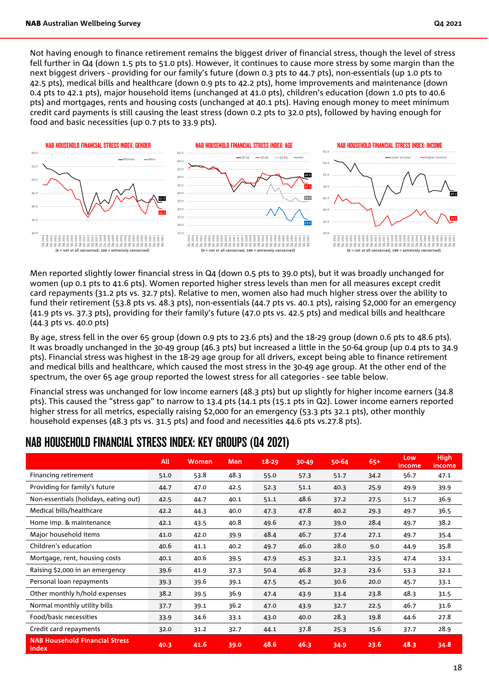Not having enough to finance retirement remains the biggest driver of financial stress, though the level of stress fell further in Q4 (down 1.5 pts to 51.0 pts). However, it continues to cause more stress by some margin than the next biggest drivers - providing for our family's future (down 0.3 pts to 44.7 pts), non-essentials (up 1.0 pts to 42.5 pts), medical bills and healthcare (down 0.9 pts to 42.2 pts), home improvements and maintenance (down 0.4 pts to 42.1 pts), major household items (unchanged at 41.0 pts), children's education (down 1.0 pts to 40.6 pts) and mortgages, rents and housing costs (unchanged at 40.1 pts). Having enough money to meet minimum credit card payments is still causing the least stress (down 0.2 pts to 32.0 pts), followed by having enough for food and basic necessities (up 0.7 pts to 33.9 pts).



Men reported slightly lower financial stress in Q4 (down 0.5 pts to 39.0 pts), but it was broadly unchanged for women (up 0.1 pts to 41.6 pts). Women reported higher stress levels than men for all measures except credit card repayments (31.2 pts vs. 32.7 pts). Relative to men, women also had much higher stress over the ability to fund their retirement (53.8 pts vs. 48.3 pts), non-essentials (44.7 pts vs. 40.1 pts), raising \$2,000 for an emergency (41.9 pts vs. 37.3 pts), providing for their family's future (47.0 pts vs. 42.5 pts) and medical bills and healthcare (44.3 pts vs. 40.0 pts)

By age, stress fell in the over 65 group (down 0.9 pts to 23.6 pts) and the 18-29 group (down 0.6 pts to 48.6 pts). It was broadly unchanged in the 30-49 group (46.3 pts) but increased a little in the 50-64 group (up 0.4 pts to 34.9 pts). Financial stress was highest in the 18-29 age group for all drivers, except being able to finance retirement and medical bills and healthcare, which caused the most stress in the 30-49 age group. At the other end of the spectrum, the over 65 age group reported the lowest stress for all categories - see table below.

Financial stress was unchanged for low income earners (48.3 pts) but up slightly for higher income earners (34.8 pts). This caused the "stress gap" to narrow to 13.4 pts (14.1 pts (15.1 pts in Q2). Lower income earners reported higher stress for all metrics, especially raising \$2,000 for an emergency (53.3 pts 32.1 pts), other monthly household expenses (48.3 pts vs. 31.5 pts) and food and necessities 44.6 pts vs.27.8 pts).

### NAB HOUSEHOLD FINANCIAL STRESS INDEX: KEY GROUPS (Q4 2021)

|                                                | <b>All</b> | <b>Women</b> | <b>Men</b> | $18 - 29$ | 30-49 | 50-64 | $65+$ | Low<br>income | <b>High</b><br>income |
|------------------------------------------------|------------|--------------|------------|-----------|-------|-------|-------|---------------|-----------------------|
| Financing retirement                           | 51.0       | 53.8         | 48.3       | 55.0      | 57.3  | 51.7  | 34.2  | 56.7          | 47.1                  |
| Providing for family's future                  | 44.7       | 47.0         | 42.5       | 52.3      | 51.1  | 40.3  | 25.9  | 49.9          | 39.9                  |
| Non-essentials (holidays, eating out)          | 42.5       | 44.7         | 40.1       | 51.1      | 48.6  | 37.2  | 27.5  | 51.7          | 36.9                  |
| Medical bills/healthcare                       | 42.2       | 44.3         | 40.0       | 47.3      | 47.8  | 40.2  | 29.3  | 49.7          | 36.5                  |
| Home imp. & maintenance                        | 42.1       | 43.5         | 40.8       | 49.6      | 47.3  | 39.0  | 28.4  | 49.7          | 38.2                  |
| Major household items                          | 41.0       | 42.0         | 39.9       | 48.4      | 46.7  | 37.4  | 27.1  | 49.7          | 35.4                  |
| Children's education                           | 40.6       | 41.1         | 40.2       | 49.7      | 46.0  | 28.0  | 9.0   | 44.9          | 35.8                  |
| Mortgage, rent, housing costs                  | 40.1       | 40.6         | 39.5       | 47.9      | 45.3  | 32.1  | 23.5  | 47.4          | 33.1                  |
| Raising \$2,000 in an emergency                | 39.6       | 41.9         | 37.3       | 50.4      | 46.8  | 32.3  | 23.6  | 53.3          | 32.1                  |
| Personal loan repayments                       | 39.3       | 39.6         | 39.1       | 47.5      | 45.2  | 30.6  | 20.0  | 45.7          | 33.1                  |
| Other monthly h/hold expenses                  | 38.2       | 39.5         | 36.9       | 47.4      | 43.9  | 33.4  | 23.8  | 48.3          | 31.5                  |
| Normal monthly utility bills                   | 37.7       | 39.1         | 36.2       | 47.0      | 43.9  | 32.7  | 22.5  | 46.7          | 31.6                  |
| Food/basic necessities                         | 33.9       | 34.6         | 33.1       | 43.0      | 40.0  | 28.3  | 19.8  | 44.6          | 27.8                  |
| Credit card repayments                         | 32.0       | 31.2         | 32.7       | 44.1      | 37.8  | 25.3  | 15.6  | 37.7          | 28.9                  |
| <b>NAB Household Financial Stress</b><br>Index | 40.3       | 41.6         | 39.0       | 48.6      | 46.3  | 34.9  | 23.6  | 48.3          | 34.8                  |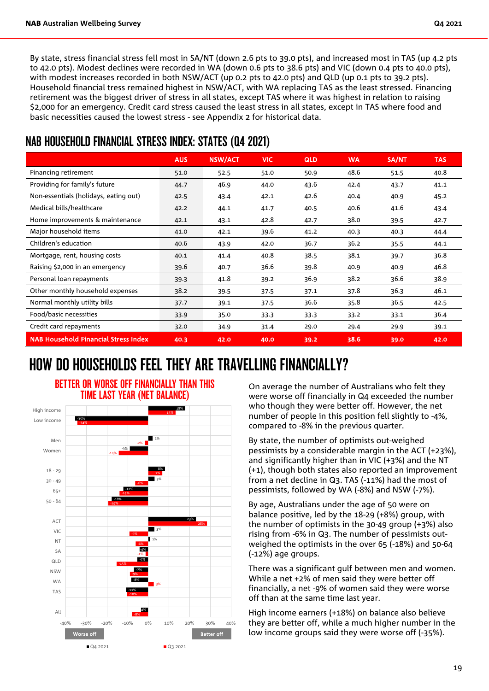By state, stress financial stress fell most in SA/NT (down 2.6 pts to 39.0 pts), and increased most in TAS (up 4.2 pts to 42.0 pts). Modest declines were recorded in WA (down 0.6 pts to 38.6 pts) and VIC (down 0.4 pts to 40.0 pts), with modest increases recorded in both NSW/ACT (up 0.2 pts to 42.0 pts) and QLD (up 0.1 pts to 39.2 pts). Household financial tress remained highest in NSW/ACT, with WA replacing TAS as the least stressed. Financing retirement was the biggest driver of stress in all states, except TAS where it was highest in relation to raising \$2,000 for an emergency. Credit card stress caused the least stress in all states, except in TAS where food and basic necessities caused the lowest stress - see Appendix 2 for historical data.

### NAB HOUSEHOLD FINANCIAL STRESS INDEX: STATES (Q4 2021)

|                                             | <b>AUS</b> | <b>NSW/ACT</b> | <b>VIC</b> | <b>QLD</b> | <b>WA</b> | SA/NT | <b>TAS</b> |
|---------------------------------------------|------------|----------------|------------|------------|-----------|-------|------------|
| Financing retirement                        | 51.0       | 52.5           | 51.0       | 50.9       | 48.6      | 51.5  | 40.8       |
| Providing for family's future               | 44.7       | 46.9           | 44.0       | 43.6       | 42.4      | 43.7  | 41.1       |
| Non-essentials (holidays, eating out)       | 42.5       | 43.4           | 42.1       | 42.6       | 40.4      | 40.9  | 45.2       |
| Medical bills/healthcare                    | 42.2       | 44.1           | 41.7       | 40.5       | 40.6      | 41.6  | 43.4       |
| Home improvements & maintenance             | 42.1       | 43.1           | 42.8       | 42.7       | 38.0      | 39.5  | 42.7       |
| Major household items                       | 41.0       | 42.1           | 39.6       | 41.2       | 40.3      | 40.3  | 44.4       |
| Children's education                        | 40.6       | 43.9           | 42.0       | 36.7       | 36.2      | 35.5  | 44.1       |
| Mortgage, rent, housing costs               | 40.1       | 41.4           | 40.8       | 38.5       | 38.1      | 39.7  | 36.8       |
| Raising \$2,000 in an emergency             | 39.6       | 40.7           | 36.6       | 39.8       | 40.9      | 40.9  | 46.8       |
| Personal loan repayments                    | 39.3       | 41.8           | 39.2       | 36.9       | 38.2      | 36.6  | 38.9       |
| Other monthly household expenses            | 38.2       | 39.5           | 37.5       | 37.1       | 37.8      | 36.3  | 46.1       |
| Normal monthly utility bills                | 37.7       | 39.1           | 37.5       | 36.6       | 35.8      | 36.5  | 42.5       |
| Food/basic necessities                      | 33.9       | 35.0           | 33.3       | 33.3       | 33.2      | 33.1  | 36.4       |
| Credit card repayments                      | 32.0       | 34.9           | 31.4       | 29.0       | 29.4      | 29.9  | 39.1       |
| <b>NAB Household Financial Stress Index</b> | 40.3       | 42.0           | 40.0       | 39.2       | 38.6      | 39.0  | 42.0       |

## HOW DO HOUSEHOLDS FEEL THEY ARE TRAVELLING FINANCIALLY?



BETTER OR WORSE OFF FINANCIALLY THAN THIS TIME LAST YEAR (NET BALANCE)

On average the number of Australians who felt they were worse off financially in Q4 exceeded the number who though they were better off. However, the net number of people in this position fell slightly to -4%, compared to -8% in the previous quarter.

By state, the number of optimists out-weighed pessimists by a considerable margin in the ACT (+23%), and significantly higher than in VIC (+3%) and the NT (+1), though both states also reported an improvement from a net decline in Q3. TAS (-11%) had the most of pessimists, followed by WA (-8%) and NSW (-7%).

By age, Australians under the age of 50 were on balance positive, led by the 18-29 (+8%) group, with the number of optimists in the 30-49 group (+3%) also rising from -6% in Q3. The number of pessimists outweighed the optimists in the over 65 (-18%) and 50-64 (-12%) age groups.

There was a significant gulf between men and women. While a net +2% of men said they were better off financially, a net -9% of women said they were worse off than at the same time last year.

High income earners (+18%) on balance also believe they are better off, while a much higher number in the low income groups said they were worse off (-35%).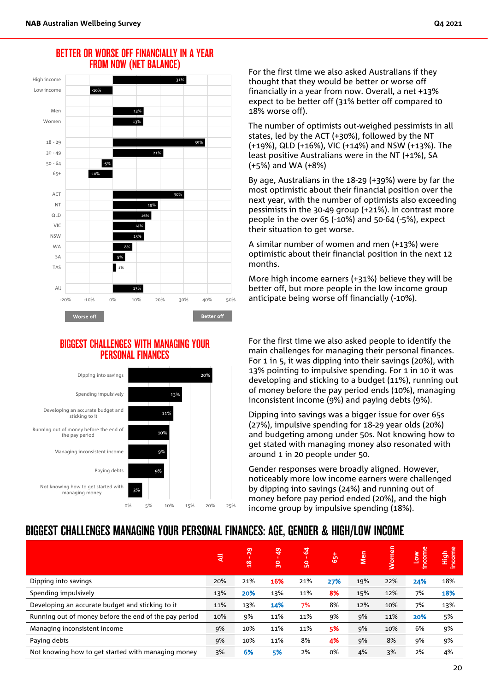#### BETTER OR WORSE OFF FINANCIALLY IN A YEAR FROM NOW (NET BALANCE)



#### BIGGEST CHALLENGES WITH MANAGING YOUR PERSONAL FINANCES



For the first time we also asked Australians if they thought that they would be better or worse off financially in a year from now. Overall, a net +13% expect to be better off (31% better off compared t0 18% worse off).

The number of optimists out-weighed pessimists in all states, led by the ACT (+30%), followed by the NT (+19%), QLD (+16%), VIC (+14%) and NSW (+13%). The least positive Australians were in the NT (+1%), SA (+5%) and WA (+8%)

By age, Australians in the 18-29 (+39%) were by far the most optimistic about their financial position over the next year, with the number of optimists also exceeding pessimists in the 30-49 group (+21%). In contrast more people in the over 65 (-10%) and 50-64 (-5%), expect their situation to get worse.

A similar number of women and men (+13%) were optimistic about their financial position in the next 12 months.

More high income earners (+31%) believe they will be better off, but more people in the low income group anticipate being worse off financially (-10%).

For the first time we also asked people to identify the main challenges for managing their personal finances. For 1 in 5, it was dipping into their savings (20%), with 13% pointing to impulsive spending. For 1 in 10 it was developing and sticking to a budget (11%), running out of money before the pay period ends (10%), managing inconsistent income (9%) and paying debts (9%).

Dipping into savings was a bigger issue for over 65s (27%), impulsive spending for 18-29 year olds (20%) and budgeting among under 50s. Not knowing how to get stated with managing money also resonated with around 1 in 20 people under 50.

Gender responses were broadly aligned. However, noticeably more low income earners were challenged by dipping into savings (24%) and running out of money before pay period ended (20%), and the high income group by impulsive spending (18%).

### BIGGEST CHALLENGES MANAGING YOUR PERSONAL FINANCES: AGE, GENDER & HIGH/LOW INCOME

|                                                       | ।₹  | $\overline{29}$<br>$\frac{8}{2}$ | $\overline{a}$<br>$\overline{\mathbf{30}}$ | $\mathbf{F}$<br><b>S</b> | <b>[あ]</b> | Men | Women | income<br><u>ιοη</u> | ncome<br><b>High</b> |
|-------------------------------------------------------|-----|----------------------------------|--------------------------------------------|--------------------------|------------|-----|-------|----------------------|----------------------|
| Dipping into savings                                  | 20% | 21%                              | 16%                                        | 21%                      | 27%        | 19% | 22%   | 24%                  | 18%                  |
| Spending impulsively                                  | 13% | 20%                              | 13%                                        | 11%                      | 8%         | 15% | 12%   | 7%                   | 18%                  |
| Developing an accurate budget and sticking to it      | 11% | 13%                              | 14%                                        | 7%                       | 8%         | 12% | 10%   | 7%                   | 13%                  |
| Running out of money before the end of the pay period | 10% | 9%                               | 11%                                        | 11%                      | 9%         | 9%  | 11%   | 20%                  | 5%                   |
| Managing inconsistent income                          | 9%  | 10%                              | 11%                                        | 11%                      | 5%         | 9%  | 10%   | 6%                   | 9%                   |
| Paying debts                                          | 9%  | 10%                              | 11%                                        | 8%                       | 4%         | 9%  | 8%    | 9%                   | 9%                   |
| Not knowing how to get started with managing money    | 3%  | 6%                               | 5%                                         | 2%                       | 0%         | 4%  | 3%    | 2%                   | 4%                   |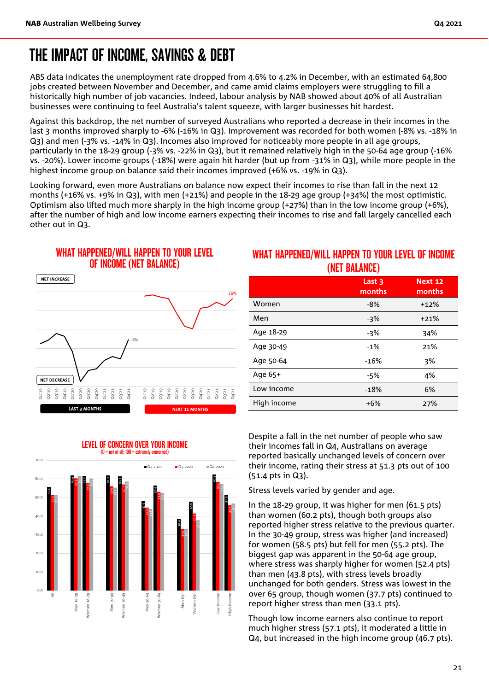ABS data indicates the unemployment rate dropped from 4.6% to 4.2% in December, with an estimated 64,800 jobs created between November and December, and came amid claims [employers were struggling to fill a](https://www.businessinsider.com.au/australias-labour-shortage-tightens-its-grip-on-construction)  [historically high number of job vacancies.](https://www.businessinsider.com.au/australias-labour-shortage-tightens-its-grip-on-construction) Indeed, labour analysis by NAB showed about 40% of all Australian businesses were continuing to feel Australia's talent squeeze, with larger businesses hit hardest.

Against this backdrop, the net number of surveyed Australians who reported a decrease in their incomes in the last 3 months improved sharply to -6% (-16% in Q3). Improvement was recorded for both women (-8% vs. -18% in Q3) and men (-3% vs. -14% in Q3). Incomes also improved for noticeably more people in all age groups, particularly in the 18-29 group (-3% vs. -22% in Q3), but it remained relatively high in the 50-64 age group (-16% vs. -20%). Lower income groups (-18%) were again hit harder (but up from -31% in Q3), while more people in the highest income group on balance said their incomes improved (+6% vs. -19% in Q3).

Looking forward, even more Australians on balance now expect their incomes to rise than fall in the next 12 months (+16% vs. +9% in Q3), with men (+21%) and people in the 18-29 age group (+34%) the most optimistic. Optimism also lifted much more sharply in the high income group (+27%) than in the low income group (+6%), after the number of high and low income earners expecting their incomes to rise and fall largely cancelled each other out in Q3.

#### WHAT HAPPENED/WILL HAPPEN TO YOUR LEVEL OF INCOME (NET BALANCE)



### WHAT HAPPENED/WILL HAPPEN TO YOUR LEVEL OF INCOME (NET BALANCE)

|             | Last <sub>3</sub><br>months | Next 12<br>months |
|-------------|-----------------------------|-------------------|
| Women       | $-8%$                       | $+12%$            |
| Men         | -3%                         | $+21%$            |
| Age 18-29   | -3%                         | 34%               |
| Age 30-49   | $-1%$                       | 21%               |
| Age 50-64   | $-16%$                      | 3%                |
| Age 65+     | -5%                         | 4%                |
| Low income  | $-18%$                      | 6%                |
| High income | $+6%$                       | 27%               |

Despite a fall in the net number of people who saw their incomes fall in Q4, Australians on average reported basically unchanged levels of concern over their income, rating their stress at 51.3 pts out of 100 (51.4 pts in Q3).

Stress levels varied by gender and age.

In the 18-29 group, it was higher for men (61.5 pts) than women (60.2 pts), though both groups also reported higher stress relative to the previous quarter. In the 30-49 group, stress was higher (and increased) for women (58.5 pts) but fell for men (55.2 pts). The biggest gap was apparent in the 50-64 age group, where stress was sharply higher for women (52.4 pts) than men (43.8 pts), with stress levels broadly unchanged for both genders. Stress was lowest in the over 65 group, though women (37.7 pts) continued to report higher stress than men (33.1 pts).

Though low income earners also continue to report much higher stress (57.1 pts), it moderated a little in Q4, but increased in the high income group (46.7 pts).

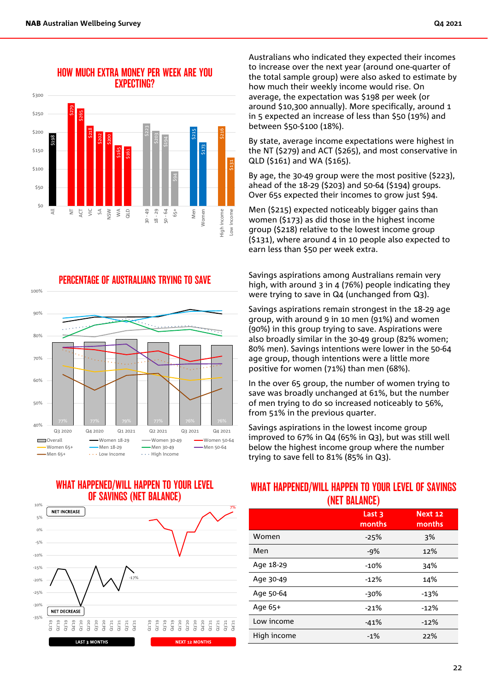100%



#### HOW MUCH EXTRA MONEY PER WEEK ARE YOU EXPECTING?

PERCENTAGE OF AUSTRALIANS TRYING TO SAVE







Australians who indicated they expected their incomes to increase over the next year (around one-quarter of the total sample group) were also asked to estimate by how much their weekly income would rise. On average, the expectation was \$198 per week (or around \$10,300 annually). More specifically, around 1 in 5 expected an increase of less than \$50 (19%) and between \$50-\$100 (18%).

By state, average income expectations were highest in the NT (\$279) and ACT (\$265), and most conservative in QLD (\$161) and WA (\$165).

By age, the 30-49 group were the most positive (\$223), ahead of the 18-29 (\$203) and 50-64 (\$194) groups. Over 65s expected their incomes to grow just \$94.

Men (\$215) expected noticeably bigger gains than women (\$173) as did those in the highest income group (\$218) relative to the lowest income group (\$131), where around 4 in 10 people also expected to earn less than \$50 per week extra.

Savings aspirations among Australians remain very high, with around 3 in 4 (76%) people indicating they were trying to save in Q4 (unchanged from Q3).

Savings aspirations remain strongest in the 18-29 age group, with around 9 in 10 men (91%) and women (90%) in this group trying to save. Aspirations were also broadly similar in the 30-49 group (82% women; 80% men). Savings intentions were lower in the 50-64 age group, though intentions were a little more positive for women (71%) than men (68%).

In the over 65 group, the number of women trying to save was broadly unchanged at 61%, but the number of men trying to do so increased noticeably to 56%, from 51% in the previous quarter.

Savings aspirations in the lowest income group improved to 67% in Q4 (65% in Q3), but was still well below the highest income group where the number trying to save fell to 81% (85% in Q3).

#### WHAT HAPPENED/WILL HAPPEN TO YOUR LEVEL OF SAVINGS (NET BALANCE)

|             | , <i>. </i>      |                   |
|-------------|------------------|-------------------|
|             | Last 3<br>months | Next 12<br>months |
| Women       | $-25%$           | 3%                |
| Men         | $-9%$            | 12%               |
| Age 18-29   | $-10%$           | 34%               |
| Age 30-49   | $-12%$           | 14%               |
| Age 50-64   | -30%             | $-13%$            |
| Age 65+     | $-21%$           | $-12%$            |
| Low income  | $-41%$           | $-12%$            |
| High income | $-1%$            | 22%               |
|             |                  |                   |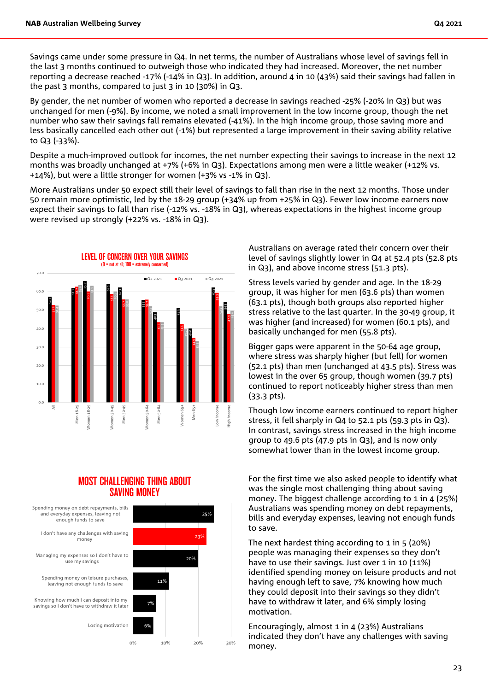Savings came under some pressure in Q4. In net terms, the number of Australians whose level of savings fell in the last 3 months continued to outweigh those who indicated they had increased. Moreover, the net number reporting a decrease reached -17% (-14% in Q3). In addition, around 4 in 10 (43%) said their savings had fallen in the past 3 months, compared to just 3 in 10 (30%) in Q3.

By gender, the net number of women who reported a decrease in savings reached -25% (-20% in Q3) but was unchanged for men (-9%). By income, we noted a small improvement in the low income group, though the net number who saw their savings fall remains elevated (-41%). In the high income group, those saving more and less basically cancelled each other out (-1%) but represented a large improvement in their saving ability relative to Q3 (-33%).

Despite a much-improved outlook for incomes, the net number expecting their savings to increase in the next 12 months was broadly unchanged at +7% (+6% in Q3). Expectations among men were a little weaker (+12% vs. +14%), but were a little stronger for women (+3% vs -1% in Q3).

More Australians under 50 expect still their level of savings to fall than rise in the next 12 months. Those under 50 remain more optimistic, led by the 18-29 group (+34% up from +25% in Q3). Fewer low income earners now expect their savings to fall than rise (-12% vs. -18% in Q3), whereas expectations in the highest income group were revised up strongly (+22% vs. -18% in Q3).



#### MOST CHALLENGING THING ABOUT SAVING MONEY



Australians on average rated their concern over their level of savings slightly lower in Q4 at 52.4 pts (52.8 pts in Q3), and above income stress (51.3 pts).

Stress levels varied by gender and age. In the 18-29 group, it was higher for men (63.6 pts) than women (63.1 pts), though both groups also reported higher stress relative to the last quarter. In the 30-49 group, it was higher (and increased) for women (60.1 pts), and basically unchanged for men (55.8 pts).

Bigger gaps were apparent in the 50-64 age group, where stress was sharply higher (but fell) for women (52.1 pts) than men (unchanged at 43.5 pts). Stress was lowest in the over 65 group, though women (39.7 pts) continued to report noticeably higher stress than men (33.3 pts).

Though low income earners continued to report higher stress, it fell sharply in Q4 to 52.1 pts (59.3 pts in Q3). In contrast, savings stress increased in the high income group to 49.6 pts (47.9 pts in Q3), and is now only somewhat lower than in the lowest income group.

For the first time we also asked people to identify what was the single most challenging thing about saving money. The biggest challenge according to 1 in 4 (25%) Australians was spending money on debt repayments, bills and everyday expenses, leaving not enough funds to save.

The next hardest thing according to 1 in 5 (20%) people was managing their expenses so they don't have to use their savings. Just over 1 in 10 (11%) identified spending money on leisure products and not having enough left to save, 7% knowing how much they could deposit into their savings so they didn't have to withdraw it later, and 6% simply losing motivation.

Encouragingly, almost 1 in 4 (23%) Australians indicated they don't have any challenges with saving money.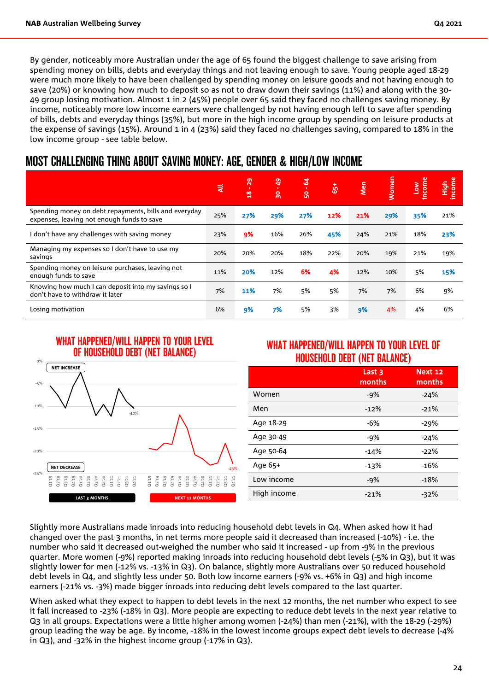By gender, noticeably more Australian under the age of 65 found the biggest challenge to save arising from spending money on bills, debts and everyday things and not leaving enough to save. Young people aged 18-29 were much more likely to have been challenged by spending money on leisure goods and not having enough to save (20%) or knowing how much to deposit so as not to draw down their savings (11%) and along with the 30- 49 group losing motivation. Almost 1 in 2 (45%) people over 65 said they faced no challenges saving money. By income, noticeably more low income earners were challenged by not having enough left to save after spending of bills, debts and everyday things (35%), but more in the high income group by spending on leisure products at the expense of savings (15%). Around 1 in 4 (23%) said they faced no challenges saving, compared to 18% in the low income group - see table below.

### MOST CHALLENGING THING ABOUT SAVING MONEY: AGE, GENDER & HIGH/LOW INCOME

|                                                                                                     | ₹   | ႙<br>$\frac{8}{10}$ | $\frac{6}{7}$<br>႙ | $\overline{a}$<br><b>S</b> | $\ddot{5}$ | <b>Nen</b> | Women | income<br>$\sum_{i=1}^{n}$ | income<br>High |
|-----------------------------------------------------------------------------------------------------|-----|---------------------|--------------------|----------------------------|------------|------------|-------|----------------------------|----------------|
| Spending money on debt repayments, bills and everyday<br>expenses, leaving not enough funds to save | 25% | 27%                 | 29%                | 27%                        | 12%        | 21%        | 29%   | 35%                        | 21%            |
| don't have any challenges with saving money                                                         | 23% | 9%                  | 16%                | 26%                        | 45%        | 24%        | 21%   | 18%                        | 23%            |
| Managing my expenses so I don't have to use my<br>savings                                           | 20% | 20%                 | 20%                | 18%                        | 22%        | 20%        | 19%   | 21%                        | 19%            |
| Spending money on leisure purchases, leaving not<br>enough funds to save                            | 11% | 20%                 | 12%                | 6%                         | 4%         | 12%        | 10%   | 5%                         | 15%            |
| Knowing how much I can deposit into my savings so I<br>don't have to withdraw it later              | 7%  | 11%                 | 7%                 | 5%                         | 5%         | 7%         | 7%    | 6%                         | 9%             |
| Losing motivation                                                                                   | 6%  | 9%                  | 7%                 | 5%                         | 3%         | 9%         | 4%    | 4%                         | 6%             |



#### WHAT HAPPENED/WILL HAPPEN TO YOUR LEVEL OF HOUSEHOLD DEBT (NET BALANCE)

|             | Last 3<br>months | <b>Next 12</b><br>months |
|-------------|------------------|--------------------------|
| Women       | $-9%$            | $-24%$                   |
| Men         | $-12%$           | $-21%$                   |
| Age 18-29   | -6%              | $-29%$                   |
| Age 30-49   | -9%              | $-24%$                   |
| Age 50-64   | $-14%$           | $-22%$                   |
| Age 65+     | $-13%$           | $-16%$                   |
| Low income  | $-9%$            | -18%                     |
| High income | $-21%$           | $-32%$                   |
|             |                  |                          |

Slightly more Australians made inroads into reducing household debt levels in Q4. When asked how it had changed over the past 3 months, in net terms more people said it decreased than increased (-10%) - i.e. the number who said it decreased out-weighed the number who said it increased - up from -9% in the previous quarter. More women (-9%) reported making inroads into reducing household debt levels (-5% in Q3), but it was slightly lower for men (-12% vs. -13% in Q3). On balance, slightly more Australians over 50 reduced household debt levels in Q4, and slightly less under 50. Both low income earners (-9% vs. +6% in Q3) and high income earners (-21% vs. -3%) made bigger inroads into reducing debt levels compared to the last quarter.

When asked what they expect to happen to debt levels in the next 12 months, the net number who expect to see it fall increased to -23% (-18% in Q3). More people are expecting to reduce debt levels in the next year relative to Q3 in all groups. Expectations were a little higher among women (-24%) than men (-21%), with the 18-29 (-29%) group leading the way be age. By income, -18% in the lowest income groups expect debt levels to decrease (-4% in Q3), and -32% in the highest income group (-17% in Q3).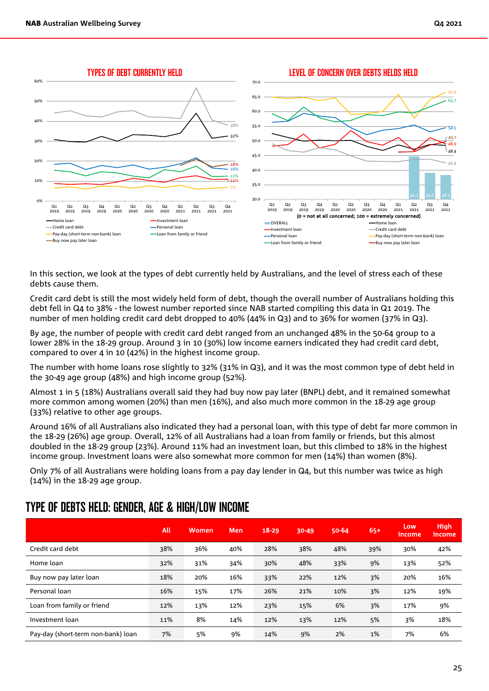

In this section, we look at the types of debt currently held by Australians, and the level of stress each of these debts cause them.

Credit card debt is still the most widely held form of debt, though the overall number of Australians holding this debt fell in Q4 to 38% - the lowest number reported since NAB started compiling this data in Q1 2019. The number of men holding credit card debt dropped to 40% (44% in Q3) and to 36% for women (37% in Q3).

By age, the number of people with credit card debt ranged from an unchanged 48% in the 50-64 group to a lower 28% in the 18-29 group. Around 3 in 10 (30%) low income earners indicated they had credit card debt, compared to over 4 in 10 (42%) in the highest income group.

The number with home loans rose slightly to 32% (31% in Q3), and it was the most common type of debt held in the 30-49 age group (48%) and high income group (52%).

Almost 1 in 5 (18%) Australians overall said they had buy now pay later (BNPL) debt, and it remained somewhat more common among women (20%) than men (16%), and also much more common in the 18-29 age group (33%) relative to other age groups.

Around 16% of all Australians also indicated they had a personal loan, with this type of debt far more common in the 18-29 (26%) age group. Overall, 12% of all Australians had a loan from family or friends, but this almost doubled in the 18-29 group (23%). Around 11% had an investment loan, but this climbed to 18% in the highest income group. Investment loans were also somewhat more common for men (14%) than women (8%).

Only 7% of all Australians were holding loans from a pay day lender in Q4, but this number was twice as high (14%) in the 18-29 age group.

|                                    | All | Women | Men | $18 - 29$ | $30 - 49$ | 50-64 | $65+$ | Low<br><i>I</i> ncome | <b>High</b><br>income |
|------------------------------------|-----|-------|-----|-----------|-----------|-------|-------|-----------------------|-----------------------|
| Credit card debt                   | 38% | 36%   | 40% | 28%       | 38%       | 48%   | 39%   | 30%                   | 42%                   |
| Home loan                          | 32% | 31%   | 34% | 30%       | 48%       | 33%   | 9%    | 13%                   | 52%                   |
| Buy now pay later loan             | 18% | 20%   | 16% | 33%       | 22%       | 12%   | 3%    | 20%                   | 16%                   |
| Personal loan                      | 16% | 15%   | 17% | 26%       | 21%       | 10%   | 3%    | 12%                   | 19%                   |
| Loan from family or friend         | 12% | 13%   | 12% | 23%       | 15%       | 6%    | 3%    | 17%                   | 9%                    |
| Investment loan                    | 11% | 8%    | 14% | 12%       | 13%       | 12%   | 5%    | 3%                    | 18%                   |
| Pay-day (short-term non-bank) loan | 7%  | 5%    | 9%  | 14%       | 9%        | 2%    | 1%    | 7%                    | 6%                    |

### TYPE OF DEBTS HELD: GENDER, AGE & HIGH/LOW INCOME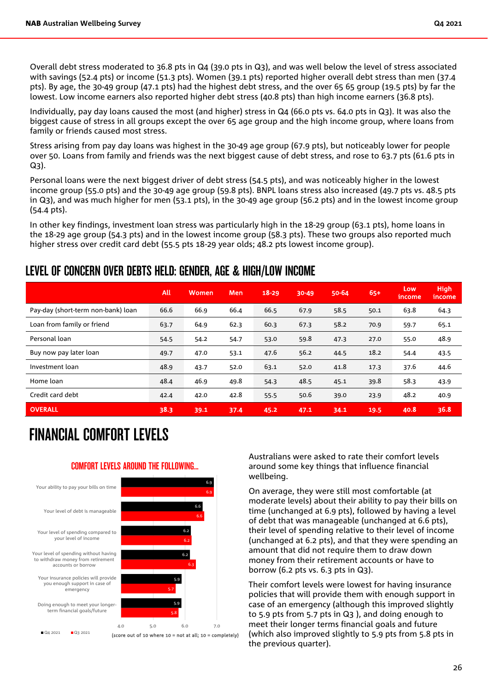Overall debt stress moderated to 36.8 pts in Q4 (39.0 pts in Q3), and was well below the level of stress associated with savings (52.4 pts) or income (51.3 pts). Women (39.1 pts) reported higher overall debt stress than men (37.4 pts). By age, the 30-49 group (47.1 pts) had the highest debt stress, and the over 65 65 group (19.5 pts) by far the lowest. Low income earners also reported higher debt stress (40.8 pts) than high income earners (36.8 pts).

Individually, pay day loans caused the most (and higher) stress in Q4 (66.0 pts vs. 64.0 pts in Q3). It was also the biggest cause of stress in all groups except the over 65 age group and the high income group, where loans from family or friends caused most stress.

Stress arising from pay day loans was highest in the 30-49 age group (67.9 pts), but noticeably lower for people over 50. Loans from family and friends was the next biggest cause of debt stress, and rose to 63.7 pts (61.6 pts in Q3).

Personal loans were the next biggest driver of debt stress (54.5 pts), and was noticeably higher in the lowest income group (55.0 pts) and the 30-49 age group (59.8 pts). BNPL loans stress also increased (49.7 pts vs. 48.5 pts in Q3), and was much higher for men (53.1 pts), in the 30-49 age group (56.2 pts) and in the lowest income group (54.4 pts).

In other key findings, investment loan stress was particularly high in the 18-29 group (63.1 pts), home loans in the 18-29 age group (54.3 pts) and in the lowest income group (58.3 pts). These two groups also reported much higher stress over credit card debt (55.5 pts 18-29 year olds; 48.2 pts lowest income group).

### LEVEL OF CONCERN OVER DEBTS HELD: GENDER, AGE & HIGH/LOW INCOME

|                                    | All  | Women | <b>Men</b> | $18 - 29$ | $30 - 49$ | 50-64 | $65+$ | Low<br>income | <b>High</b><br>income |
|------------------------------------|------|-------|------------|-----------|-----------|-------|-------|---------------|-----------------------|
| Pay-day (short-term non-bank) loan | 66.6 | 66.9  | 66.4       | 66.5      | 67.9      | 58.5  | 50.1  | 63.8          | 64.3                  |
| Loan from family or friend         | 63.7 | 64.9  | 62.3       | 60.3      | 67.3      | 58.2  | 70.9  | 59.7          | 65.1                  |
| Personal loan                      | 54.5 | 54.2  | 54.7       | 53.0      | 59.8      | 47.3  | 27.0  | 55.0          | 48.9                  |
| Buy now pay later loan             | 49.7 | 47.0  | 53.1       | 47.6      | 56.2      | 44.5  | 18.2  | 54.4          | 43.5                  |
| Investment loan                    | 48.9 | 43.7  | 52.0       | 63.1      | 52.0      | 41.8  | 17.3  | 37.6          | 44.6                  |
| Home loan                          | 48.4 | 46.9  | 49.8       | 54.3      | 48.5      | 45.1  | 39.8  | 58.3          | 43.9                  |
| Credit card debt                   | 42.4 | 42.0  | 42.8       | 55.5      | 50.6      | 39.0  | 23.9  | 48.2          | 40.9                  |
| <b>OVERALL</b>                     | 38.3 | 39.1  | 37.4       | 45.2      | 47.1      | 34.1  | 19.5  | 40.8          | 36.8                  |

6.9

6.9

## FINANCIAL COMFORT LEVELS

#### COMFORT LEVELS AROUND THE FOLLOWING...



Australians were asked to rate their comfort levels around some key things that influence financial wellbeing.

On average, they were still most comfortable (at moderate levels) about their ability to pay their bills on time (unchanged at 6.9 pts), followed by having a level of debt that was manageable (unchanged at 6.6 pts), their level of spending relative to their level of income (unchanged at 6.2 pts), and that they were spending an amount that did not require them to draw down money from their retirement accounts or have to borrow (6.2 pts vs. 6.3 pts in Q3).

Their comfort levels were lowest for having insurance policies that will provide them with enough support in case of an emergency (although this improved slightly to 5.9 pts from 5.7 pts in Q3 ), and doing enough to meet their longer terms financial goals and future (which also improved slightly to 5.9 pts from 5.8 pts in the previous quarter).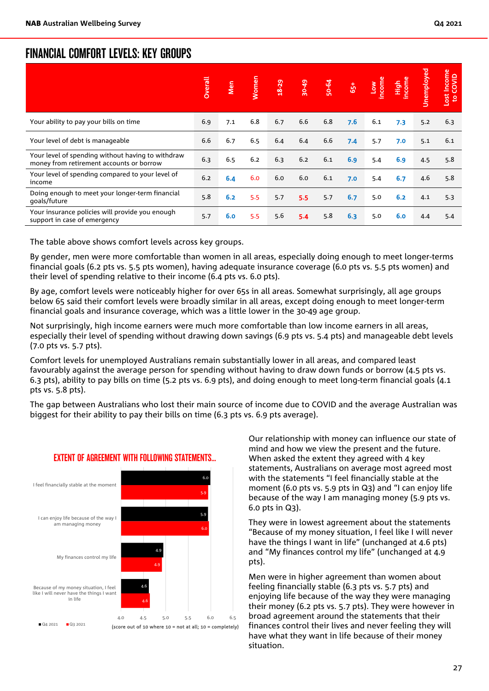### FINANCIAL COMFORT LEVELS: KEY GROUPS

|                                                                                               | Overall | <b>Men</b> | <b>Women</b> | $18 - 29$ | 30-49 | 50-64 | $\overline{65}$ | incom<br>Low | icome<br>tigh | Unemployed | Lost Income<br>to COVID |
|-----------------------------------------------------------------------------------------------|---------|------------|--------------|-----------|-------|-------|-----------------|--------------|---------------|------------|-------------------------|
| Your ability to pay your bills on time                                                        | 6.9     | 7.1        | 6.8          | 6.7       | 6.6   | 6.8   | 7.6             | 6.1          | 7.3           | 5.2        | 6.3                     |
| Your level of debt is manageable                                                              | 6.6     | 6.7        | 6.5          | 6.4       | 6.4   | 6.6   | 7.4             | 5.7          | 7.0           | 5.1        | 6.1                     |
| Your level of spending without having to withdraw<br>money from retirement accounts or borrow | 6.3     | 6.5        | 6.2          | 6.3       | 6.2   | 6.1   | 6.9             | 5.4          | 6.9           | 4.5        | 5.8                     |
| Your level of spending compared to your level of<br>income                                    | 6.2     | 6.4        | 6.0          | 6.0       | 6.0   | 6.1   | 7.0             | 5.4          | 6.7           | 4.6        | 5.8                     |
| Doing enough to meet your longer-term financial<br>qoals/future                               | 5.8     | 6.2        | 5.5          | 5.7       | 5.5   | 5.7   | 6.7             | 5.0          | 6.2           | 4.1        | 5.3                     |
| Your insurance policies will provide you enough<br>support in case of emergency               | 5.7     | 6.0        | 5.5          | 5.6       | 5.4   | 5.8   | 6.3             | 5.0          | 6.0           | 4.4        | 5.4                     |

The table above shows comfort levels across key groups.

By gender, men were more comfortable than women in all areas, especially doing enough to meet longer-terms financial goals (6.2 pts vs. 5.5 pts women), having adequate insurance coverage (6.0 pts vs. 5.5 pts women) and their level of spending relative to their income (6.4 pts vs. 6.0 pts).

By age, comfort levels were noticeably higher for over 65s in all areas. Somewhat surprisingly, all age groups below 65 said their comfort levels were broadly similar in all areas, except doing enough to meet longer-term financial goals and insurance coverage, which was a little lower in the 30-49 age group.

Not surprisingly, high income earners were much more comfortable than low income earners in all areas, especially their level of spending without drawing down savings (6.9 pts vs. 5.4 pts) and manageable debt levels (7.0 pts vs. 5.7 pts).

Comfort levels for unemployed Australians remain substantially lower in all areas, and compared least favourably against the average person for spending without having to draw down funds or borrow (4.5 pts vs. 6.3 pts), ability to pay bills on time (5.2 pts vs. 6.9 pts), and doing enough to meet long-term financial goals (4.1 pts vs. 5.8 pts).

The gap between Australians who lost their main source of income due to COVID and the average Australian was biggest for their ability to pay their bills on time (6.3 pts vs. 6.9 pts average).



#### EXTENT OF AGREEMENT WITH FOLLOWING STATEMENTS...

Our relationship with money can influence our state of mind and how we view the present and the future. When asked the extent they agreed with 4 key statements, Australians on average most agreed most with the statements "I feel financially stable at the moment (6.0 pts vs. 5.9 pts in Q3) and "I can enjoy life because of the way I am managing money (5.9 pts vs. 6.0 pts in Q3).

They were in lowest agreement about the statements "Because of my money situation, I feel like I will never have the things I want in life" (unchanged at 4.6 pts) and "My finances control my life" (unchanged at 4.9 pts).

Men were in higher agreement than women about feeling financially stable (6.3 pts vs. 5.7 pts) and enjoying life because of the way they were managing their money (6.2 pts vs. 5.7 pts). They were however in broad agreement around the statements that their finances control their lives and never feeling they will have what they want in life because of their money situation.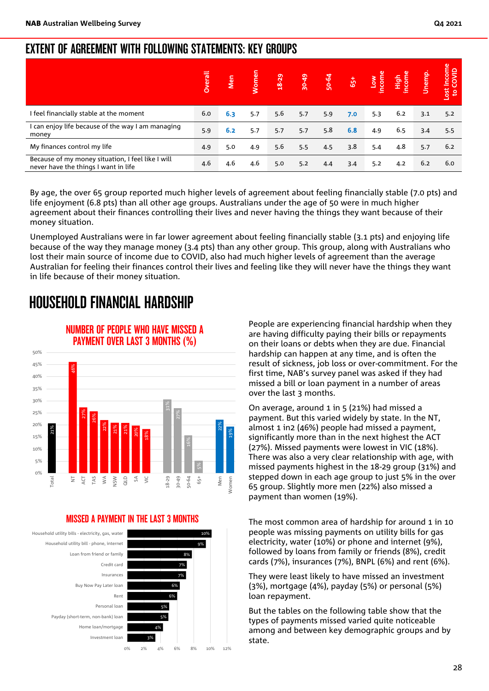### EXTENT OF AGREEMENT WITH FOLLOWING STATEMENTS: KEY GROUPS

|                                                                                           | <u>lieral</u> | <b>Da</b> | <b>Jomer</b> | <b>18-29</b> | 30-49 | 50-64 | $65+$ | Mon<br>Huroun | <b>High</b><br>income | Unemp. | Lost Income<br>to COVID |
|-------------------------------------------------------------------------------------------|---------------|-----------|--------------|--------------|-------|-------|-------|---------------|-----------------------|--------|-------------------------|
| I feel financially stable at the moment                                                   | 6.0           | 6.3       | 5.7          | 5.6          | 5.7   | 5.9   | 7.0   | 5.3           | 6.2                   | 3.1    | 5.2                     |
| I can enjoy life because of the way I am managing<br>money                                | 5.9           | 6.2       | 5.7          | 5.7          | 5.7   | 5.8   | 6.8   | 4.9           | 6.5                   | 3.4    | 5.5                     |
| My finances control my life                                                               | 4.9           | 5.0       | 4.9          | 5.6          | 5.5   | 4.5   | 3.8   | 5.4           | 4.8                   | 5.7    | 6.2                     |
| Because of my money situation, I feel like I will<br>never have the things I want in life | 4.6           | 4.6       | 4.6          | 5.0          | 5.2   | 4.4   | 3.4   | 5.2           | 4.2                   | 6.2    | 6.0                     |

By age, the over 65 group reported much higher levels of agreement about feeling financially stable (7.0 pts) and life enjoyment (6.8 pts) than all other age groups. Australians under the age of 50 were in much higher agreement about their finances controlling their lives and never having the things they want because of their money situation.

Unemployed Australians were in far lower agreement about feeling financially stable (3.1 pts) and enjoying life because of the way they manage money (3.4 pts) than any other group. This group, along with Australians who lost their main source of income due to COVID, also had much higher levels of agreement than the average Australian for feeling their finances control their lives and feeling like they will never have the things they want in life because of their money situation.

## HOUSEHOLD FINANCIAL HARDSHIP



### NUMBER OF PEOPLE WHO HAVE MISSED A PAYMENT OVER LAST 3 MONTHS (%)

#### MISSED A PAYMENT IN THE LAST 3 MONTHS



People are experiencing financial hardship when they are having difficulty paying their bills or repayments on their loans or debts when they are due. Financial hardship can happen at any time, and is often the result of sickness, job loss or over-commitment. For the first time, NAB's survey panel was asked if they had missed a bill or loan payment in a number of areas over the last 3 months.

On average, around 1 in 5 (21%) had missed a payment. But this varied widely by state. In the NT, almost 1 in2 (46%) people had missed a payment, significantly more than in the next highest the ACT (27%). Missed payments were lowest in VIC (18%). There was also a very clear relationship with age, with missed payments highest in the 18-29 group (31%) and stepped down in each age group to just 5% in the over 65 group. Slightly more men (22%) also missed a payment than women (19%).

The most common area of hardship for around 1 in 10 people was missing payments on utility bills for gas electricity, water (10%) or phone and internet (9%), followed by loans from family or friends (8%), credit cards (7%), insurances (7%), BNPL (6%) and rent (6%).

They were least likely to have missed an investment (3%), mortgage (4%), payday (5%) or personal (5%) loan repayment.

But the tables on the following table show that the types of payments missed varied quite noticeable among and between key demographic groups and by state.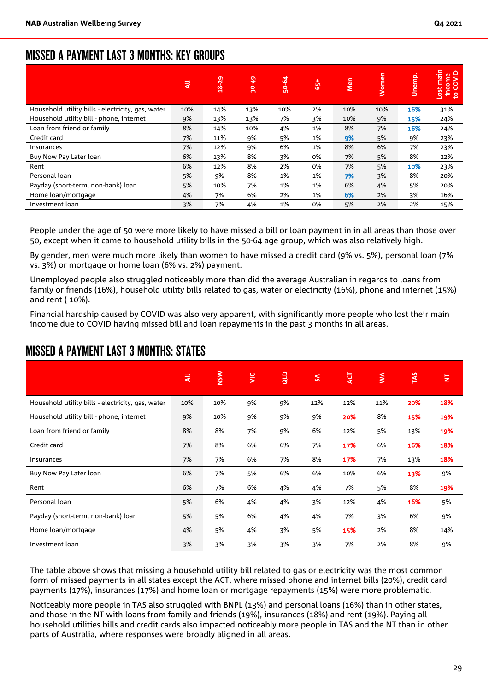### MISSED A PAYMENT LAST 3 MONTHS: KEY GROUPS

|                                                   | ₹   | $18 - 29$ | ఞ<br>န္က | 50-64 | $65+$ | Men | Women | Unemp. | <b>Tigh</b><br>income<br>to COVID<br>Lost |
|---------------------------------------------------|-----|-----------|----------|-------|-------|-----|-------|--------|-------------------------------------------|
| Household utility bills - electricity, gas, water | 10% | 14%       | 13%      | 10%   | 2%    | 10% | 10%   | 16%    | 31%                                       |
| Household utility bill - phone, internet          | 9%  | 13%       | 13%      | 7%    | 3%    | 10% | 9%    | 15%    | 24%                                       |
| Loan from friend or family                        | 8%  | 14%       | 10%      | 4%    | 1%    | 8%  | 7%    | 16%    | 24%                                       |
| Credit card                                       | 7%  | 11%       | 9%       | 5%    | 1%    | 9%  | 5%    | 9%     | 23%                                       |
| Insurances                                        | 7%  | 12%       | 9%       | 6%    | 1%    | 8%  | 6%    | 7%     | 23%                                       |
| Buy Now Pay Later loan                            | 6%  | 13%       | 8%       | 3%    | 0%    | 7%  | 5%    | 8%     | 22%                                       |
| Rent                                              | 6%  | 12%       | 8%       | 2%    | 0%    | 7%  | 5%    | 10%    | 23%                                       |
| Personal loan                                     | 5%  | 9%        | 8%       | 1%    | 1%    | 7%  | 3%    | 8%     | 20%                                       |
| Payday (short-term, non-bank) loan                | 5%  | 10%       | 7%       | 1%    | 1%    | 6%  | 4%    | 5%     | 20%                                       |
| Home loan/mortgage                                | 4%  | 7%        | 6%       | 2%    | 1%    | 6%  | 2%    | 3%     | 16%                                       |
| Investment loan                                   | 3%  | 7%        | 4%       | 1%    | 0%    | 5%  | 2%    | 2%     | 15%                                       |

People under the age of 50 were more likely to have missed a bill or loan payment in in all areas than those over 50, except when it came to household utility bills in the 50-64 age group, which was also relatively high.

By gender, men were much more likely than women to have missed a credit card (9% vs. 5%), personal loan (7% vs. 3%) or mortgage or home loan (6% vs. 2%) payment.

Unemployed people also struggled noticeably more than did the average Australian in regards to loans from family or friends (16%), household utility bills related to gas, water or electricity (16%), phone and internet (15%) and rent ( 10%).

Financial hardship caused by COVID was also very apparent, with significantly more people who lost their main income due to COVID having missed bill and loan repayments in the past 3 months in all areas.

|                                                   | ₹   | <b>NSW</b> | $\leq$ | qup | $\mathcal{S}$ | ŹΣ  | $\leq$ | TAS | E   |
|---------------------------------------------------|-----|------------|--------|-----|---------------|-----|--------|-----|-----|
| Household utility bills - electricity, gas, water | 10% | 10%        | 9%     | 9%  | 12%           | 12% | 11%    | 20% | 18% |
| Household utility bill - phone, internet          | 9%  | 10%        | 9%     | 9%  | 9%            | 20% | 8%     | 15% | 19% |
| Loan from friend or family                        | 8%  | 8%         | 7%     | 9%  | 6%            | 12% | 5%     | 13% | 19% |
| Credit card                                       | 7%  | 8%         | 6%     | 6%  | 7%            | 17% | 6%     | 16% | 18% |
| Insurances                                        | 7%  | 7%         | 6%     | 7%  | 8%            | 17% | 7%     | 13% | 18% |
| Buy Now Pay Later loan                            | 6%  | 7%         | 5%     | 6%  | 6%            | 10% | 6%     | 13% | 9%  |
| Rent                                              | 6%  | 7%         | 6%     | 4%  | 4%            | 7%  | 5%     | 8%  | 19% |
| Personal loan                                     | 5%  | 6%         | 4%     | 4%  | 3%            | 12% | 4%     | 16% | 5%  |
| Payday (short-term, non-bank) loan                | 5%  | 5%         | 6%     | 4%  | 4%            | 7%  | 3%     | 6%  | 9%  |
| Home loan/mortgage                                | 4%  | 5%         | 4%     | 3%  | 5%            | 15% | 2%     | 8%  | 14% |
| Investment loan                                   | 3%  | 3%         | 3%     | 3%  | 3%            | 7%  | 2%     | 8%  | 9%  |

### MISSED A PAYMENT LAST 3 MONTHS: STATES

The table above shows that missing a household utility bill related to gas or electricity was the most common form of missed payments in all states except the ACT, where missed phone and internet bills (20%), credit card payments (17%), insurances (17%) and home loan or mortgage repayments (15%) were more problematic.

Noticeably more people in TAS also struggled with BNPL (13%) and personal loans (16%) than in other states, and those in the NT with loans from family and friends (19%), insurances (18%) and rent (19%). Paying all household utilities bills and credit cards also impacted noticeably more people in TAS and the NT than in other parts of Australia, where responses were broadly aligned in all areas.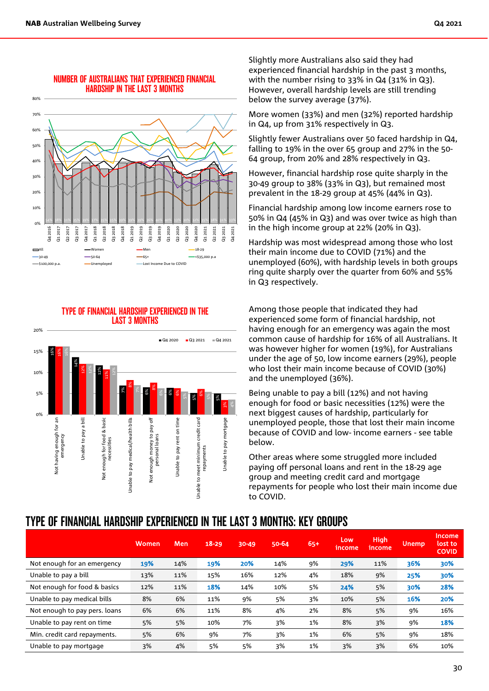

#### NUMBER OF AUSTRALIANS THAT EXPERIENCED FINANCIAL HARDSHIP IN THE LAST 3 MONTHS

#### TYPE OF FINANCIAL HARDSHIP EXPERIENCED IN THE LAST 3 MONTHS



Slightly more Australians also said they had experienced financial hardship in the past 3 months, with the number rising to 33% in Q4 (31% in Q3). However, overall hardship levels are still trending below the survey average (37%).

More women (33%) and men (32%) reported hardship in Q4, up from 31% respectively in Q3.

Slightly fewer Australians over 50 faced hardship in Q4, falling to 19% in the over 65 group and 27% in the 50- 64 group, from 20% and 28% respectively in Q3.

However, financial hardship rose quite sharply in the 30-49 group to 38% (33% in Q3), but remained most prevalent in the 18-29 group at 45% (44% in Q3).

Financial hardship among low income earners rose to 50% in Q4 (45% in Q3) and was over twice as high than in the high income group at 22% (20% in Q3).

Hardship was most widespread among those who lost their main income due to COVID (71%) and the unemployed (60%), with hardship levels in both groups ring quite sharply over the quarter from 60% and 55% in Q3 respectively.

Among those people that indicated they had experienced some form of financial hardship, not having enough for an emergency was again the most common cause of hardship for 16% of all Australians. It was however higher for women (19%), for Australians under the age of 50, low income earners (29%), people who lost their main income because of COVID (30%) and the unemployed (36%).

Being unable to pay a bill (12%) and not having enough for food or basic necessities (12%) were the next biggest causes of hardship, particularly for unemployed people, those that lost their main income because of COVID and low- income earners - see table below.

Other areas where some struggled more included paying off personal loans and rent in the 18-29 age group and meeting credit card and mortgage repayments for people who lost their main income due to COVID.

### TYPE OF FINANCIAL HARDSHIP EXPERIENCED IN THE LAST 3 MONTHS: KEY GROUPS

|                               | Women | <b>Men</b> | $18 - 29$ | $30 - 49$ | 50-64 | $65+$ | Low<br>income | <b>High</b><br>income | Unemp | <b>Income</b><br>lost to<br><b>COVID</b> |
|-------------------------------|-------|------------|-----------|-----------|-------|-------|---------------|-----------------------|-------|------------------------------------------|
| Not enough for an emergency   | 19%   | 14%        | 19%       | 20%       | 14%   | 9%    | 29%           | 11%                   | 36%   | 30%                                      |
| Unable to pay a bill          | 13%   | 11%        | 15%       | 16%       | 12%   | 4%    | 18%           | 9%                    | 25%   | 30%                                      |
| Not enough for food & basics  | 12%   | 11%        | 18%       | 14%       | 10%   | 5%    | 24%           | 5%                    | 30%   | 28%                                      |
| Unable to pay medical bills   | 8%    | 6%         | 11%       | 9%        | 5%    | 3%    | 10%           | 5%                    | 16%   | 20%                                      |
| Not enough to pay pers. loans | 6%    | 6%         | 11%       | 8%        | 4%    | 2%    | 8%            | 5%                    | 9%    | 16%                                      |
| Unable to pay rent on time    | 5%    | 5%         | 10%       | 7%        | 3%    | 1%    | 8%            | 3%                    | 9%    | 18%                                      |
| Min. credit card repayments.  | 5%    | 6%         | 9%        | 7%        | 3%    | 1%    | 6%            | 5%                    | 9%    | 18%                                      |
| Unable to pay mortgage        | 3%    | 4%         | 5%        | 5%        | 3%    | 1%    | 3%            | 3%                    | 6%    | 10%                                      |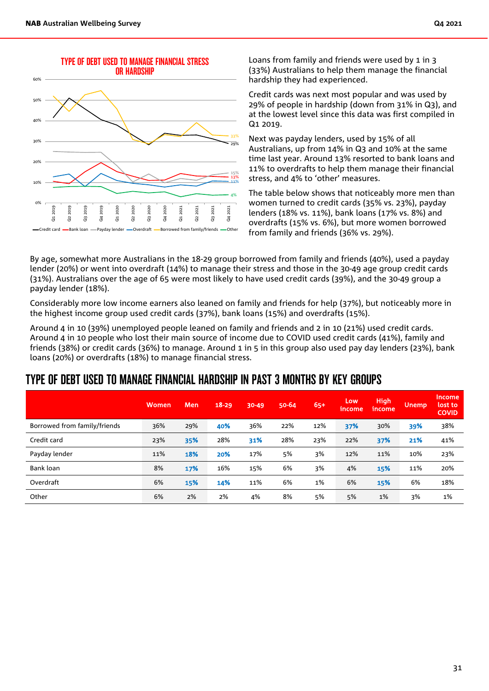

Loans from family and friends were used by 1 in 3 (33%) Australians to help them manage the financial hardship they had experienced.

Credit cards was next most popular and was used by 29% of people in hardship (down from 31% in Q3), and at the lowest level since this data was first compiled in Q1 2019.

Next was payday lenders, used by 15% of all Australians, up from 14% in Q3 and 10% at the same time last year. Around 13% resorted to bank loans and 11% to overdrafts to help them manage their financial stress, and 4% to 'other' measures.

The table below shows that noticeably more men than women turned to credit cards (35% vs. 23%), payday lenders (18% vs. 11%), bank loans (17% vs. 8%) and overdrafts (15% vs. 6%), but more women borrowed from family and friends (36% vs. 29%).

By age, somewhat more Australians in the 18-29 group borrowed from family and friends (40%), used a payday lender (20%) or went into overdraft (14%) to manage their stress and those in the 30-49 age group credit cards (31%). Australians over the age of 65 were most likely to have used credit cards (39%), and the 30-49 group a payday lender (18%).

Considerably more low income earners also leaned on family and friends for help (37%), but noticeably more in the highest income group used credit cards (37%), bank loans (15%) and overdrafts (15%).

Around 4 in 10 (39%) unemployed people leaned on family and friends and 2 in 10 (21%) used credit cards. Around 4 in 10 people who lost their main source of income due to COVID used credit cards (41%), family and friends (38%) or credit cards (36%) to manage. Around 1 in 5 in this group also used pay day lenders (23%), bank loans (20%) or overdrafts (18%) to manage financial stress.

### TYPE OF DEBT USED TO MANAGE FINANCIAL HARDSHIP IN PAST 3 MONTHS BY KEY GROUPS

|                              | Women | Men | $18 - 29$ | $30 - 49$ | 50-64 | $65+$ | Low<br>income | <b>High</b><br>income | <b>Unemp</b> | <b>Income</b><br>lost to<br><b>COVID</b> |
|------------------------------|-------|-----|-----------|-----------|-------|-------|---------------|-----------------------|--------------|------------------------------------------|
| Borrowed from family/friends | 36%   | 29% | 40%       | 36%       | 22%   | 12%   | 37%           | 30%                   | 39%          | 38%                                      |
| Credit card                  | 23%   | 35% | 28%       | 31%       | 28%   | 23%   | 22%           | 37%                   | 21%          | 41%                                      |
| Payday lender                | 11%   | 18% | 20%       | 17%       | 5%    | 3%    | 12%           | 11%                   | 10%          | 23%                                      |
| Bank loan                    | 8%    | 17% | 16%       | 15%       | 6%    | 3%    | 4%            | 15%                   | 11%          | 20%                                      |
| Overdraft                    | 6%    | 15% | 14%       | 11%       | 6%    | 1%    | 6%            | 15%                   | 6%           | 18%                                      |
| Other                        | 6%    | 2%  | 2%        | 4%        | 8%    | 5%    | 5%            | 1%                    | 3%           | 1%                                       |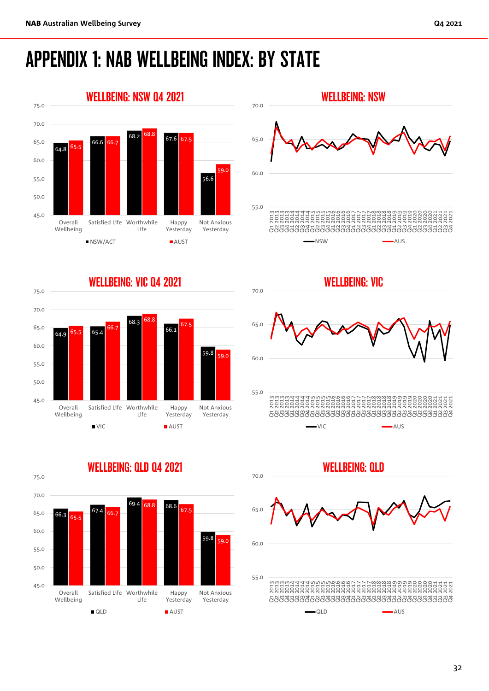# APPENDIX 1: NAB WELLBEING INDEX: BY STATE



55.0 60.0 65.0 70.0 003 2020<br>2020 2020 2020 2020 2020 2020<br>2020 2020 2020 2020 2020 2020 2020<br>2020 2020 2020 2020 2020 2020 2020 Q4 2018 Q1 2019 Q2 2019 Q3 2019 Q4 2019 Q1 2020 Q2 2020 Q3 2020 Q4 2020 Q1 2021 Q2 2021 Q3 2021 Q4 2021 WELLBEING: NSW NSW **AUS** 











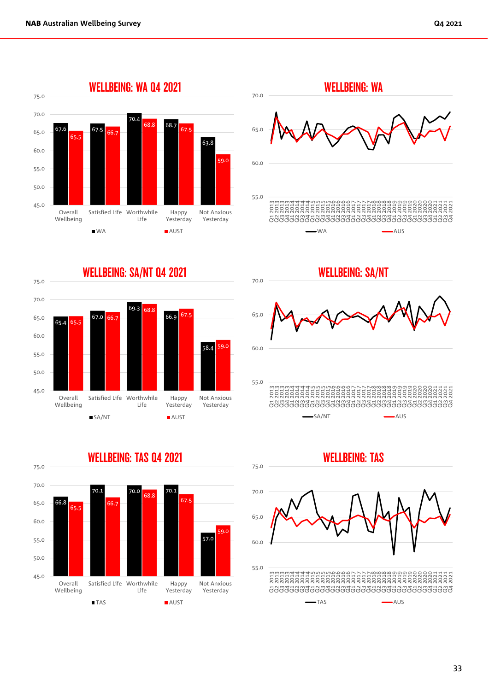







WELLBEING: SA/NT

70.0





#### 33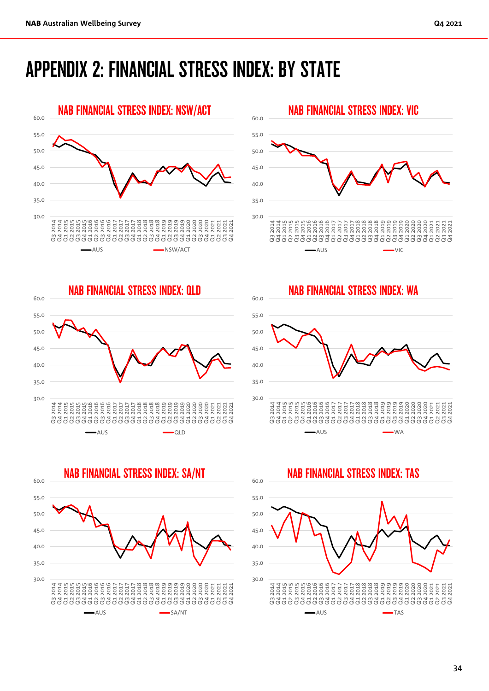# APPENDIX 2: FINANCIAL STRESS INDEX: BY STATE